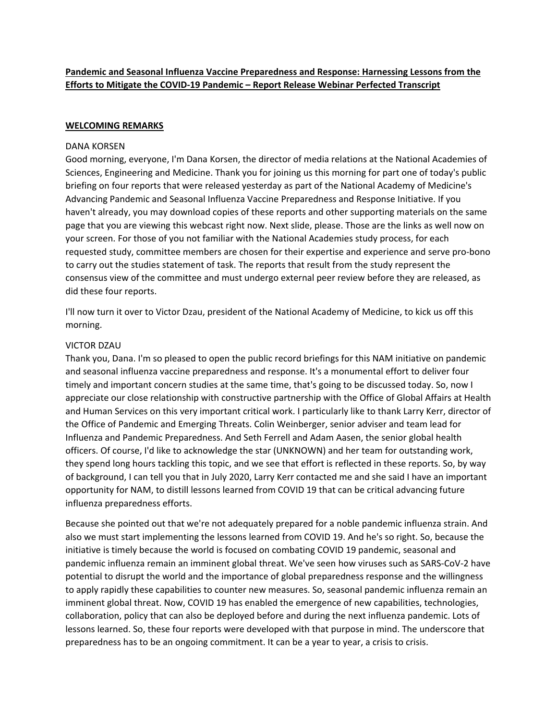# **Pandemic and Seasonal Influenza Vaccine Preparedness and Response: Harnessing Lessons from the Efforts to Mitigate the COVID‐19 Pandemic – Report Release Webinar Perfected Transcript**

# **WELCOMING REMARKS**

### DANA KORSEN

Good morning, everyone, I'm Dana Korsen, the director of media relations at the National Academies of Sciences, Engineering and Medicine. Thank you for joining us this morning for part one of today's public briefing on four reports that were released yesterday as part of the National Academy of Medicine's Advancing Pandemic and Seasonal Influenza Vaccine Preparedness and Response Initiative. If you haven't already, you may download copies of these reports and other supporting materials on the same page that you are viewing this webcast right now. Next slide, please. Those are the links as well now on your screen. For those of you not familiar with the National Academies study process, for each requested study, committee members are chosen for their expertise and experience and serve pro‐bono to carry out the studies statement of task. The reports that result from the study represent the consensus view of the committee and must undergo external peer review before they are released, as did these four reports.

I'll now turn it over to Victor Dzau, president of the National Academy of Medicine, to kick us off this morning.

# VICTOR DZAU

Thank you, Dana. I'm so pleased to open the public record briefings for this NAM initiative on pandemic and seasonal influenza vaccine preparedness and response. It's a monumental effort to deliver four timely and important concern studies at the same time, that's going to be discussed today. So, now I appreciate our close relationship with constructive partnership with the Office of Global Affairs at Health and Human Services on this very important critical work. I particularly like to thank Larry Kerr, director of the Office of Pandemic and Emerging Threats. Colin Weinberger, senior adviser and team lead for Influenza and Pandemic Preparedness. And Seth Ferrell and Adam Aasen, the senior global health officers. Of course, I'd like to acknowledge the star (UNKNOWN) and her team for outstanding work, they spend long hours tackling this topic, and we see that effort is reflected in these reports. So, by way of background, I can tell you that in July 2020, Larry Kerr contacted me and she said I have an important opportunity for NAM, to distill lessons learned from COVID 19 that can be critical advancing future influenza preparedness efforts.

Because she pointed out that we're not adequately prepared for a noble pandemic influenza strain. And also we must start implementing the lessons learned from COVID 19. And he's so right. So, because the initiative is timely because the world is focused on combating COVID 19 pandemic, seasonal and pandemic influenza remain an imminent global threat. We've seen how viruses such as SARS‐CoV‐2 have potential to disrupt the world and the importance of global preparedness response and the willingness to apply rapidly these capabilities to counter new measures. So, seasonal pandemic influenza remain an imminent global threat. Now, COVID 19 has enabled the emergence of new capabilities, technologies, collaboration, policy that can also be deployed before and during the next influenza pandemic. Lots of lessons learned. So, these four reports were developed with that purpose in mind. The underscore that preparedness has to be an ongoing commitment. It can be a year to year, a crisis to crisis.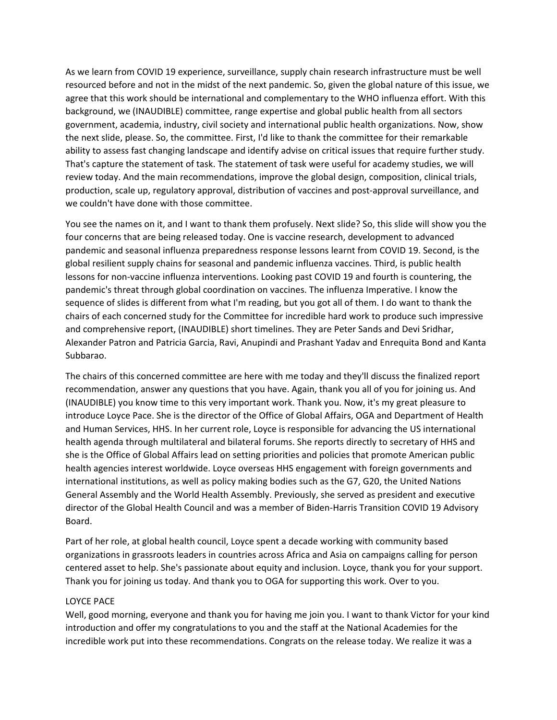As we learn from COVID 19 experience, surveillance, supply chain research infrastructure must be well resourced before and not in the midst of the next pandemic. So, given the global nature of this issue, we agree that this work should be international and complementary to the WHO influenza effort. With this background, we (INAUDIBLE) committee, range expertise and global public health from all sectors government, academia, industry, civil society and international public health organizations. Now, show the next slide, please. So, the committee. First, I'd like to thank the committee for their remarkable ability to assess fast changing landscape and identify advise on critical issues that require further study. That's capture the statement of task. The statement of task were useful for academy studies, we will review today. And the main recommendations, improve the global design, composition, clinical trials, production, scale up, regulatory approval, distribution of vaccines and post-approval surveillance, and we couldn't have done with those committee.

You see the names on it, and I want to thank them profusely. Next slide? So, this slide will show you the four concerns that are being released today. One is vaccine research, development to advanced pandemic and seasonal influenza preparedness response lessons learnt from COVID 19. Second, is the global resilient supply chains for seasonal and pandemic influenza vaccines. Third, is public health lessons for non‐vaccine influenza interventions. Looking past COVID 19 and fourth is countering, the pandemic's threat through global coordination on vaccines. The influenza Imperative. I know the sequence of slides is different from what I'm reading, but you got all of them. I do want to thank the chairs of each concerned study for the Committee for incredible hard work to produce such impressive and comprehensive report, (INAUDIBLE) short timelines. They are Peter Sands and Devi Sridhar, Alexander Patron and Patricia Garcia, Ravi, Anupindi and Prashant Yadav and Enrequita Bond and Kanta Subbarao.

The chairs of this concerned committee are here with me today and they'll discuss the finalized report recommendation, answer any questions that you have. Again, thank you all of you for joining us. And (INAUDIBLE) you know time to this very important work. Thank you. Now, it's my great pleasure to introduce Loyce Pace. She is the director of the Office of Global Affairs, OGA and Department of Health and Human Services, HHS. In her current role, Loyce is responsible for advancing the US international health agenda through multilateral and bilateral forums. She reports directly to secretary of HHS and she is the Office of Global Affairs lead on setting priorities and policies that promote American public health agencies interest worldwide. Loyce overseas HHS engagement with foreign governments and international institutions, as well as policy making bodies such as the G7, G20, the United Nations General Assembly and the World Health Assembly. Previously, she served as president and executive director of the Global Health Council and was a member of Biden‐Harris Transition COVID 19 Advisory Board.

Part of her role, at global health council, Loyce spent a decade working with community based organizations in grassroots leaders in countries across Africa and Asia on campaigns calling for person centered asset to help. She's passionate about equity and inclusion. Loyce, thank you for your support. Thank you for joining us today. And thank you to OGA for supporting this work. Over to you.

#### LOYCE PACE

Well, good morning, everyone and thank you for having me join you. I want to thank Victor for your kind introduction and offer my congratulations to you and the staff at the National Academies for the incredible work put into these recommendations. Congrats on the release today. We realize it was a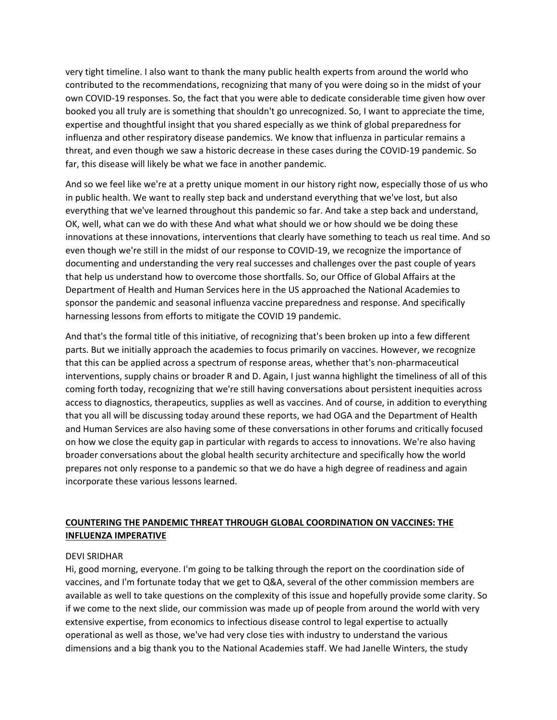very tight timeline. I also want to thank the many public health experts from around the world who contributed to the recommendations, recognizing that many of you were doing so in the midst of your own COVID‐19 responses. So, the fact that you were able to dedicate considerable time given how over booked you all truly are is something that shouldn't go unrecognized. So, I want to appreciate the time, expertise and thoughtful insight that you shared especially as we think of global preparedness for influenza and other respiratory disease pandemics. We know that influenza in particular remains a threat, and even though we saw a historic decrease in these cases during the COVID‐19 pandemic. So far, this disease will likely be what we face in another pandemic.

And so we feel like we're at a pretty unique moment in our history right now, especially those of us who in public health. We want to really step back and understand everything that we've lost, but also everything that we've learned throughout this pandemic so far. And take a step back and understand, OK, well, what can we do with these And what what should we or how should we be doing these innovations at these innovations, interventions that clearly have something to teach us real time. And so even though we're still in the midst of our response to COVID-19, we recognize the importance of documenting and understanding the very real successes and challenges over the past couple of years that help us understand how to overcome those shortfalls. So, our Office of Global Affairs at the Department of Health and Human Services here in the US approached the National Academies to sponsor the pandemic and seasonal influenza vaccine preparedness and response. And specifically harnessing lessons from efforts to mitigate the COVID 19 pandemic.

And that's the formal title of this initiative, of recognizing that's been broken up into a few different parts. But we initially approach the academies to focus primarily on vaccines. However, we recognize that this can be applied across a spectrum of response areas, whether that's non‐pharmaceutical interventions, supply chains or broader R and D. Again, I just wanna highlight the timeliness of all of this coming forth today, recognizing that we're still having conversations about persistent inequities across access to diagnostics, therapeutics, supplies as well as vaccines. And of course, in addition to everything that you all will be discussing today around these reports, we had OGA and the Department of Health and Human Services are also having some of these conversations in other forums and critically focused on how we close the equity gap in particular with regards to access to innovations. We're also having broader conversations about the global health security architecture and specifically how the world prepares not only response to a pandemic so that we do have a high degree of readiness and again incorporate these various lessons learned.

# **COUNTERING THE PANDEMIC THREAT THROUGH GLOBAL COORDINATION ON VACCINES: THE INFLUENZA IMPERATIVE**

# DEVI SRIDHAR

Hi, good morning, everyone. I'm going to be talking through the report on the coordination side of vaccines, and I'm fortunate today that we get to Q&A, several of the other commission members are available as well to take questions on the complexity of this issue and hopefully provide some clarity. So if we come to the next slide, our commission was made up of people from around the world with very extensive expertise, from economics to infectious disease control to legal expertise to actually operational as well as those, we've had very close ties with industry to understand the various dimensions and a big thank you to the National Academies staff. We had Janelle Winters, the study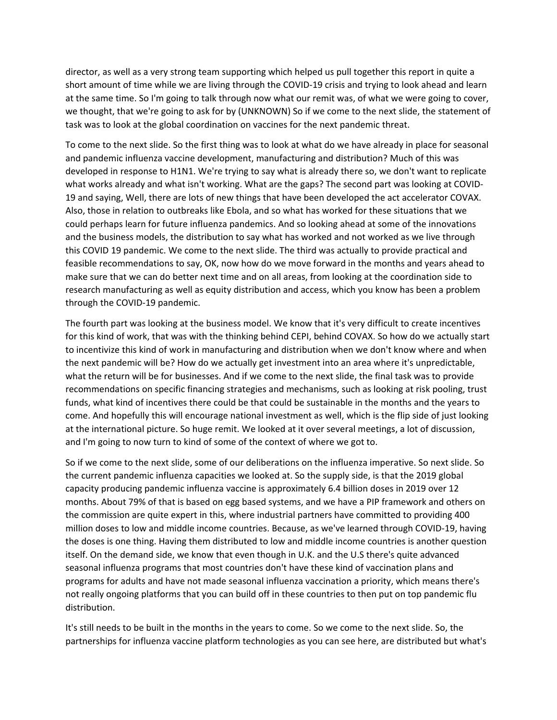director, as well as a very strong team supporting which helped us pull together this report in quite a short amount of time while we are living through the COVID-19 crisis and trying to look ahead and learn at the same time. So I'm going to talk through now what our remit was, of what we were going to cover, we thought, that we're going to ask for by (UNKNOWN) So if we come to the next slide, the statement of task was to look at the global coordination on vaccines for the next pandemic threat.

To come to the next slide. So the first thing was to look at what do we have already in place for seasonal and pandemic influenza vaccine development, manufacturing and distribution? Much of this was developed in response to H1N1. We're trying to say what is already there so, we don't want to replicate what works already and what isn't working. What are the gaps? The second part was looking at COVID‐ 19 and saying, Well, there are lots of new things that have been developed the act accelerator COVAX. Also, those in relation to outbreaks like Ebola, and so what has worked for these situations that we could perhaps learn for future influenza pandemics. And so looking ahead at some of the innovations and the business models, the distribution to say what has worked and not worked as we live through this COVID 19 pandemic. We come to the next slide. The third was actually to provide practical and feasible recommendations to say, OK, now how do we move forward in the months and years ahead to make sure that we can do better next time and on all areas, from looking at the coordination side to research manufacturing as well as equity distribution and access, which you know has been a problem through the COVID‐19 pandemic.

The fourth part was looking at the business model. We know that it's very difficult to create incentives for this kind of work, that was with the thinking behind CEPI, behind COVAX. So how do we actually start to incentivize this kind of work in manufacturing and distribution when we don't know where and when the next pandemic will be? How do we actually get investment into an area where it's unpredictable, what the return will be for businesses. And if we come to the next slide, the final task was to provide recommendations on specific financing strategies and mechanisms, such as looking at risk pooling, trust funds, what kind of incentives there could be that could be sustainable in the months and the years to come. And hopefully this will encourage national investment as well, which is the flip side of just looking at the international picture. So huge remit. We looked at it over several meetings, a lot of discussion, and I'm going to now turn to kind of some of the context of where we got to.

So if we come to the next slide, some of our deliberations on the influenza imperative. So next slide. So the current pandemic influenza capacities we looked at. So the supply side, is that the 2019 global capacity producing pandemic influenza vaccine is approximately 6.4 billion doses in 2019 over 12 months. About 79% of that is based on egg based systems, and we have a PIP framework and others on the commission are quite expert in this, where industrial partners have committed to providing 400 million doses to low and middle income countries. Because, as we've learned through COVID‐19, having the doses is one thing. Having them distributed to low and middle income countries is another question itself. On the demand side, we know that even though in U.K. and the U.S there's quite advanced seasonal influenza programs that most countries don't have these kind of vaccination plans and programs for adults and have not made seasonal influenza vaccination a priority, which means there's not really ongoing platforms that you can build off in these countries to then put on top pandemic flu distribution.

It's still needs to be built in the months in the years to come. So we come to the next slide. So, the partnerships for influenza vaccine platform technologies as you can see here, are distributed but what's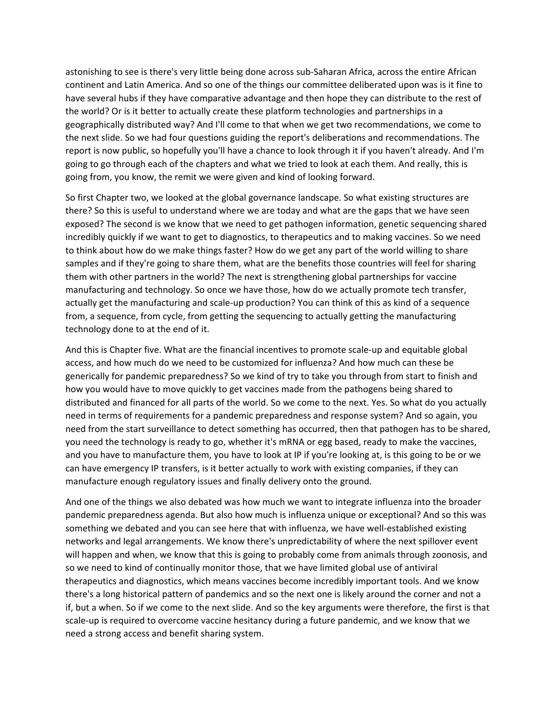astonishing to see is there's very little being done across sub‐Saharan Africa, across the entire African continent and Latin America. And so one of the things our committee deliberated upon was is it fine to have several hubs if they have comparative advantage and then hope they can distribute to the rest of the world? Or is it better to actually create these platform technologies and partnerships in a geographically distributed way? And I'll come to that when we get two recommendations, we come to the next slide. So we had four questions guiding the report's deliberations and recommendations. The report is now public, so hopefully you'll have a chance to look through it if you haven't already. And I'm going to go through each of the chapters and what we tried to look at each them. And really, this is going from, you know, the remit we were given and kind of looking forward.

So first Chapter two, we looked at the global governance landscape. So what existing structures are there? So this is useful to understand where we are today and what are the gaps that we have seen exposed? The second is we know that we need to get pathogen information, genetic sequencing shared incredibly quickly if we want to get to diagnostics, to therapeutics and to making vaccines. So we need to think about how do we make things faster? How do we get any part of the world willing to share samples and if they're going to share them, what are the benefits those countries will feel for sharing them with other partners in the world? The next is strengthening global partnerships for vaccine manufacturing and technology. So once we have those, how do we actually promote tech transfer, actually get the manufacturing and scale‐up production? You can think of this as kind of a sequence from, a sequence, from cycle, from getting the sequencing to actually getting the manufacturing technology done to at the end of it.

And this is Chapter five. What are the financial incentives to promote scale‐up and equitable global access, and how much do we need to be customized for influenza? And how much can these be generically for pandemic preparedness? So we kind of try to take you through from start to finish and how you would have to move quickly to get vaccines made from the pathogens being shared to distributed and financed for all parts of the world. So we come to the next. Yes. So what do you actually need in terms of requirements for a pandemic preparedness and response system? And so again, you need from the start surveillance to detect something has occurred, then that pathogen has to be shared, you need the technology is ready to go, whether it's mRNA or egg based, ready to make the vaccines, and you have to manufacture them, you have to look at IP if you're looking at, is this going to be or we can have emergency IP transfers, is it better actually to work with existing companies, if they can manufacture enough regulatory issues and finally delivery onto the ground.

And one of the things we also debated was how much we want to integrate influenza into the broader pandemic preparedness agenda. But also how much is influenza unique or exceptional? And so this was something we debated and you can see here that with influenza, we have well‐established existing networks and legal arrangements. We know there's unpredictability of where the next spillover event will happen and when, we know that this is going to probably come from animals through zoonosis, and so we need to kind of continually monitor those, that we have limited global use of antiviral therapeutics and diagnostics, which means vaccines become incredibly important tools. And we know there's a long historical pattern of pandemics and so the next one is likely around the corner and not a if, but a when. So if we come to the next slide. And so the key arguments were therefore, the first is that scale-up is required to overcome vaccine hesitancy during a future pandemic, and we know that we need a strong access and benefit sharing system.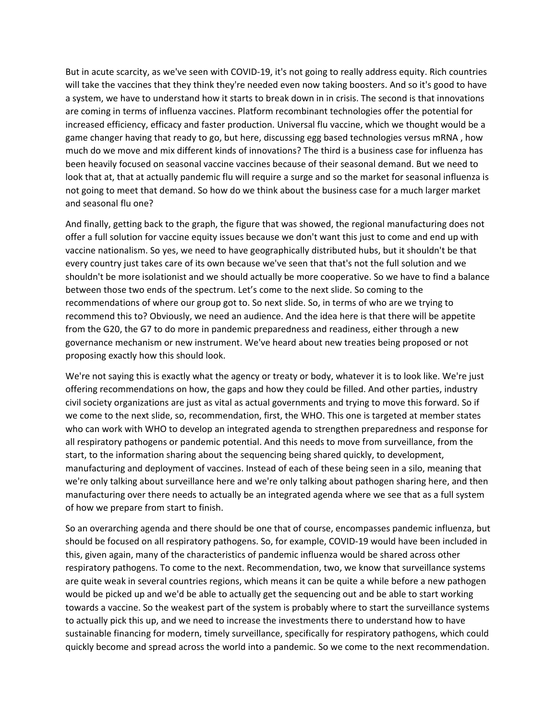But in acute scarcity, as we've seen with COVID‐19, it's not going to really address equity. Rich countries will take the vaccines that they think they're needed even now taking boosters. And so it's good to have a system, we have to understand how it starts to break down in in crisis. The second is that innovations are coming in terms of influenza vaccines. Platform recombinant technologies offer the potential for increased efficiency, efficacy and faster production. Universal flu vaccine, which we thought would be a game changer having that ready to go, but here, discussing egg based technologies versus mRNA , how much do we move and mix different kinds of innovations? The third is a business case for influenza has been heavily focused on seasonal vaccine vaccines because of their seasonal demand. But we need to look that at, that at actually pandemic flu will require a surge and so the market for seasonal influenza is not going to meet that demand. So how do we think about the business case for a much larger market and seasonal flu one?

And finally, getting back to the graph, the figure that was showed, the regional manufacturing does not offer a full solution for vaccine equity issues because we don't want this just to come and end up with vaccine nationalism. So yes, we need to have geographically distributed hubs, but it shouldn't be that every country just takes care of its own because we've seen that that's not the full solution and we shouldn't be more isolationist and we should actually be more cooperative. So we have to find a balance between those two ends of the spectrum. Let's come to the next slide. So coming to the recommendations of where our group got to. So next slide. So, in terms of who are we trying to recommend this to? Obviously, we need an audience. And the idea here is that there will be appetite from the G20, the G7 to do more in pandemic preparedness and readiness, either through a new governance mechanism or new instrument. We've heard about new treaties being proposed or not proposing exactly how this should look.

We're not saying this is exactly what the agency or treaty or body, whatever it is to look like. We're just offering recommendations on how, the gaps and how they could be filled. And other parties, industry civil society organizations are just as vital as actual governments and trying to move this forward. So if we come to the next slide, so, recommendation, first, the WHO. This one is targeted at member states who can work with WHO to develop an integrated agenda to strengthen preparedness and response for all respiratory pathogens or pandemic potential. And this needs to move from surveillance, from the start, to the information sharing about the sequencing being shared quickly, to development, manufacturing and deployment of vaccines. Instead of each of these being seen in a silo, meaning that we're only talking about surveillance here and we're only talking about pathogen sharing here, and then manufacturing over there needs to actually be an integrated agenda where we see that as a full system of how we prepare from start to finish.

So an overarching agenda and there should be one that of course, encompasses pandemic influenza, but should be focused on all respiratory pathogens. So, for example, COVID‐19 would have been included in this, given again, many of the characteristics of pandemic influenza would be shared across other respiratory pathogens. To come to the next. Recommendation, two, we know that surveillance systems are quite weak in several countries regions, which means it can be quite a while before a new pathogen would be picked up and we'd be able to actually get the sequencing out and be able to start working towards a vaccine. So the weakest part of the system is probably where to start the surveillance systems to actually pick this up, and we need to increase the investments there to understand how to have sustainable financing for modern, timely surveillance, specifically for respiratory pathogens, which could quickly become and spread across the world into a pandemic. So we come to the next recommendation.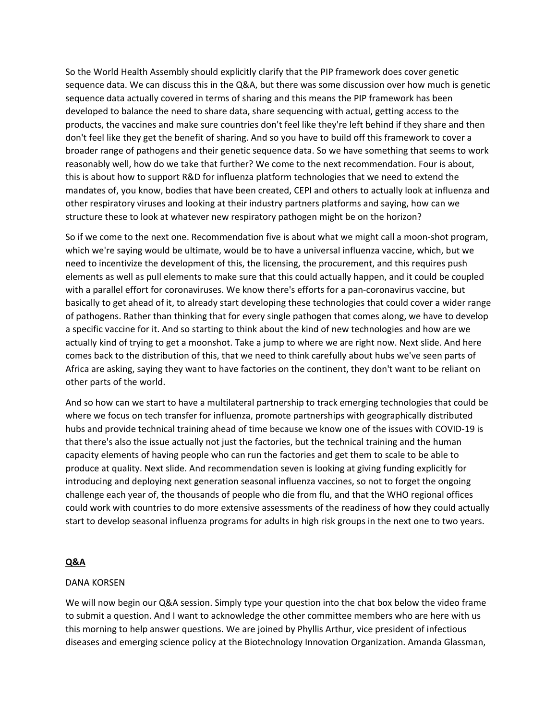So the World Health Assembly should explicitly clarify that the PIP framework does cover genetic sequence data. We can discuss this in the Q&A, but there was some discussion over how much is genetic sequence data actually covered in terms of sharing and this means the PIP framework has been developed to balance the need to share data, share sequencing with actual, getting access to the products, the vaccines and make sure countries don't feel like they're left behind if they share and then don't feel like they get the benefit of sharing. And so you have to build off this framework to cover a broader range of pathogens and their genetic sequence data. So we have something that seems to work reasonably well, how do we take that further? We come to the next recommendation. Four is about, this is about how to support R&D for influenza platform technologies that we need to extend the mandates of, you know, bodies that have been created, CEPI and others to actually look at influenza and other respiratory viruses and looking at their industry partners platforms and saying, how can we structure these to look at whatever new respiratory pathogen might be on the horizon?

So if we come to the next one. Recommendation five is about what we might call a moon‐shot program, which we're saying would be ultimate, would be to have a universal influenza vaccine, which, but we need to incentivize the development of this, the licensing, the procurement, and this requires push elements as well as pull elements to make sure that this could actually happen, and it could be coupled with a parallel effort for coronaviruses. We know there's efforts for a pan-coronavirus vaccine, but basically to get ahead of it, to already start developing these technologies that could cover a wider range of pathogens. Rather than thinking that for every single pathogen that comes along, we have to develop a specific vaccine for it. And so starting to think about the kind of new technologies and how are we actually kind of trying to get a moonshot. Take a jump to where we are right now. Next slide. And here comes back to the distribution of this, that we need to think carefully about hubs we've seen parts of Africa are asking, saying they want to have factories on the continent, they don't want to be reliant on other parts of the world.

And so how can we start to have a multilateral partnership to track emerging technologies that could be where we focus on tech transfer for influenza, promote partnerships with geographically distributed hubs and provide technical training ahead of time because we know one of the issues with COVID‐19 is that there's also the issue actually not just the factories, but the technical training and the human capacity elements of having people who can run the factories and get them to scale to be able to produce at quality. Next slide. And recommendation seven is looking at giving funding explicitly for introducing and deploying next generation seasonal influenza vaccines, so not to forget the ongoing challenge each year of, the thousands of people who die from flu, and that the WHO regional offices could work with countries to do more extensive assessments of the readiness of how they could actually start to develop seasonal influenza programs for adults in high risk groups in the next one to two years.

# **Q&A**

### DANA KORSEN

We will now begin our Q&A session. Simply type your question into the chat box below the video frame to submit a question. And I want to acknowledge the other committee members who are here with us this morning to help answer questions. We are joined by Phyllis Arthur, vice president of infectious diseases and emerging science policy at the Biotechnology Innovation Organization. Amanda Glassman,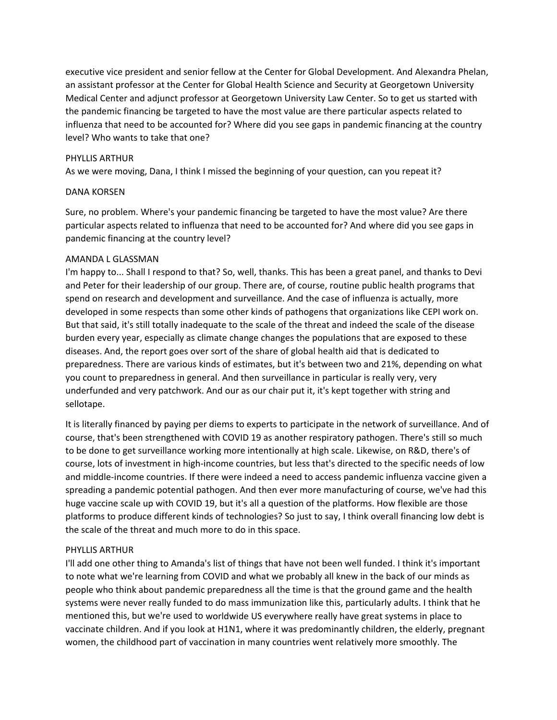executive vice president and senior fellow at the Center for Global Development. And Alexandra Phelan, an assistant professor at the Center for Global Health Science and Security at Georgetown University Medical Center and adjunct professor at Georgetown University Law Center. So to get us started with the pandemic financing be targeted to have the most value are there particular aspects related to influenza that need to be accounted for? Where did you see gaps in pandemic financing at the country level? Who wants to take that one?

#### PHYLLIS ARTHUR

As we were moving, Dana, I think I missed the beginning of your question, can you repeat it?

#### DANA KORSEN

Sure, no problem. Where's your pandemic financing be targeted to have the most value? Are there particular aspects related to influenza that need to be accounted for? And where did you see gaps in pandemic financing at the country level?

#### AMANDA L GLASSMAN

I'm happy to... Shall I respond to that? So, well, thanks. This has been a great panel, and thanks to Devi and Peter for their leadership of our group. There are, of course, routine public health programs that spend on research and development and surveillance. And the case of influenza is actually, more developed in some respects than some other kinds of pathogens that organizations like CEPI work on. But that said, it's still totally inadequate to the scale of the threat and indeed the scale of the disease burden every year, especially as climate change changes the populations that are exposed to these diseases. And, the report goes over sort of the share of global health aid that is dedicated to preparedness. There are various kinds of estimates, but it's between two and 21%, depending on what you count to preparedness in general. And then surveillance in particular is really very, very underfunded and very patchwork. And our as our chair put it, it's kept together with string and sellotape.

It is literally financed by paying per diems to experts to participate in the network of surveillance. And of course, that's been strengthened with COVID 19 as another respiratory pathogen. There's still so much to be done to get surveillance working more intentionally at high scale. Likewise, on R&D, there's of course, lots of investment in high-income countries, but less that's directed to the specific needs of low and middle‐income countries. If there were indeed a need to access pandemic influenza vaccine given a spreading a pandemic potential pathogen. And then ever more manufacturing of course, we've had this huge vaccine scale up with COVID 19, but it's all a question of the platforms. How flexible are those platforms to produce different kinds of technologies? So just to say, I think overall financing low debt is the scale of the threat and much more to do in this space.

#### PHYLLIS ARTHUR

I'll add one other thing to Amanda's list of things that have not been well funded. I think it's important to note what we're learning from COVID and what we probably all knew in the back of our minds as people who think about pandemic preparedness all the time is that the ground game and the health systems were never really funded to do mass immunization like this, particularly adults. I think that he mentioned this, but we're used to worldwide US everywhere really have great systems in place to vaccinate children. And if you look at H1N1, where it was predominantly children, the elderly, pregnant women, the childhood part of vaccination in many countries went relatively more smoothly. The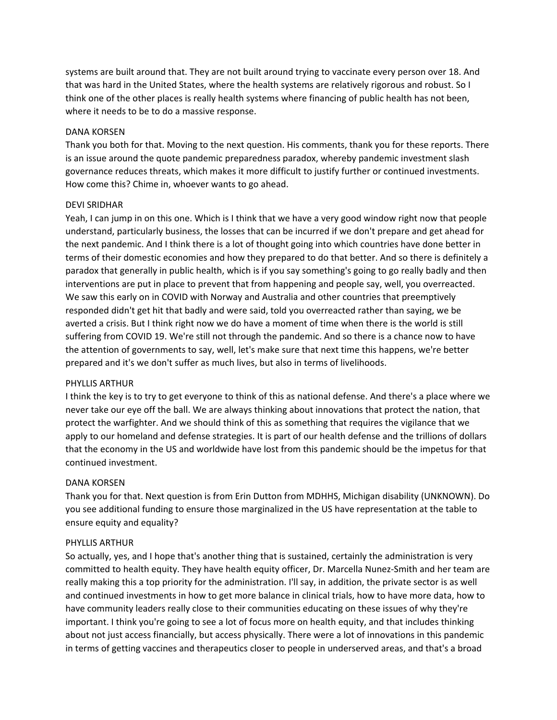systems are built around that. They are not built around trying to vaccinate every person over 18. And that was hard in the United States, where the health systems are relatively rigorous and robust. So I think one of the other places is really health systems where financing of public health has not been, where it needs to be to do a massive response.

# DANA KORSEN

Thank you both for that. Moving to the next question. His comments, thank you for these reports. There is an issue around the quote pandemic preparedness paradox, whereby pandemic investment slash governance reduces threats, which makes it more difficult to justify further or continued investments. How come this? Chime in, whoever wants to go ahead.

# DEVI SRIDHAR

Yeah, I can jump in on this one. Which is I think that we have a very good window right now that people understand, particularly business, the losses that can be incurred if we don't prepare and get ahead for the next pandemic. And I think there is a lot of thought going into which countries have done better in terms of their domestic economies and how they prepared to do that better. And so there is definitely a paradox that generally in public health, which is if you say something's going to go really badly and then interventions are put in place to prevent that from happening and people say, well, you overreacted. We saw this early on in COVID with Norway and Australia and other countries that preemptively responded didn't get hit that badly and were said, told you overreacted rather than saying, we be averted a crisis. But I think right now we do have a moment of time when there is the world is still suffering from COVID 19. We're still not through the pandemic. And so there is a chance now to have the attention of governments to say, well, let's make sure that next time this happens, we're better prepared and it's we don't suffer as much lives, but also in terms of livelihoods.

#### PHYLLIS ARTHUR

I think the key is to try to get everyone to think of this as national defense. And there's a place where we never take our eye off the ball. We are always thinking about innovations that protect the nation, that protect the warfighter. And we should think of this as something that requires the vigilance that we apply to our homeland and defense strategies. It is part of our health defense and the trillions of dollars that the economy in the US and worldwide have lost from this pandemic should be the impetus for that continued investment.

# DANA KORSEN

Thank you for that. Next question is from Erin Dutton from MDHHS, Michigan disability (UNKNOWN). Do you see additional funding to ensure those marginalized in the US have representation at the table to ensure equity and equality?

#### PHYLLIS ARTHUR

So actually, yes, and I hope that's another thing that is sustained, certainly the administration is very committed to health equity. They have health equity officer, Dr. Marcella Nunez‐Smith and her team are really making this a top priority for the administration. I'll say, in addition, the private sector is as well and continued investments in how to get more balance in clinical trials, how to have more data, how to have community leaders really close to their communities educating on these issues of why they're important. I think you're going to see a lot of focus more on health equity, and that includes thinking about not just access financially, but access physically. There were a lot of innovations in this pandemic in terms of getting vaccines and therapeutics closer to people in underserved areas, and that's a broad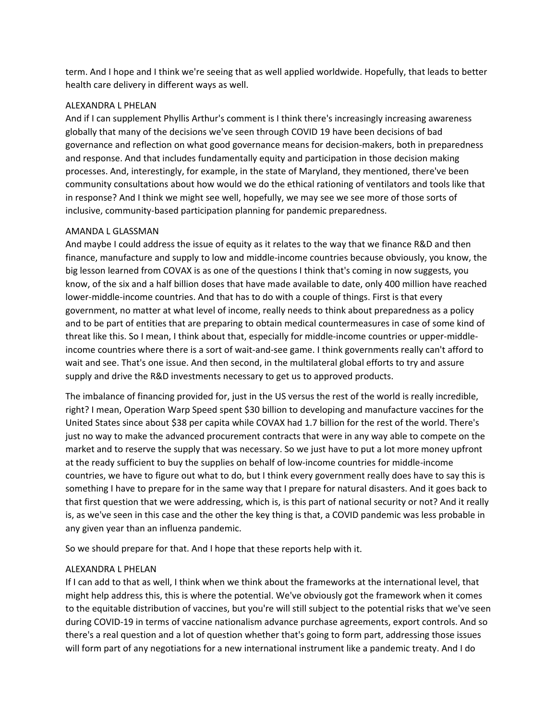term. And I hope and I think we're seeing that as well applied worldwide. Hopefully, that leads to better health care delivery in different ways as well.

# ALEXANDRA L PHELAN

And if I can supplement Phyllis Arthur's comment is I think there's increasingly increasing awareness globally that many of the decisions we've seen through COVID 19 have been decisions of bad governance and reflection on what good governance means for decision‐makers, both in preparedness and response. And that includes fundamentally equity and participation in those decision making processes. And, interestingly, for example, in the state of Maryland, they mentioned, there've been community consultations about how would we do the ethical rationing of ventilators and tools like that in response? And I think we might see well, hopefully, we may see we see more of those sorts of inclusive, community‐based participation planning for pandemic preparedness.

# AMANDA L GLASSMAN

And maybe I could address the issue of equity as it relates to the way that we finance R&D and then finance, manufacture and supply to low and middle-income countries because obviously, you know, the big lesson learned from COVAX is as one of the questions I think that's coming in now suggests, you know, of the six and a half billion doses that have made available to date, only 400 million have reached lower‐middle‐income countries. And that has to do with a couple of things. First is that every government, no matter at what level of income, really needs to think about preparedness as a policy and to be part of entities that are preparing to obtain medical countermeasures in case of some kind of threat like this. So I mean, I think about that, especially for middle‐income countries or upper‐middle‐ income countries where there is a sort of wait-and-see game. I think governments really can't afford to wait and see. That's one issue. And then second, in the multilateral global efforts to try and assure supply and drive the R&D investments necessary to get us to approved products.

The imbalance of financing provided for, just in the US versus the rest of the world is really incredible, right? I mean, Operation Warp Speed spent \$30 billion to developing and manufacture vaccines for the United States since about \$38 per capita while COVAX had 1.7 billion for the rest of the world. There's just no way to make the advanced procurement contracts that were in any way able to compete on the market and to reserve the supply that was necessary. So we just have to put a lot more money upfront at the ready sufficient to buy the supplies on behalf of low‐income countries for middle‐income countries, we have to figure out what to do, but I think every government really does have to say this is something I have to prepare for in the same way that I prepare for natural disasters. And it goes back to that first question that we were addressing, which is, is this part of national security or not? And it really is, as we've seen in this case and the other the key thing is that, a COVID pandemic was less probable in any given year than an influenza pandemic.

So we should prepare for that. And I hope that these reports help with it.

# ALEXANDRA L PHELAN

If I can add to that as well, I think when we think about the frameworks at the international level, that might help address this, this is where the potential. We've obviously got the framework when it comes to the equitable distribution of vaccines, but you're will still subject to the potential risks that we've seen during COVID‐19 in terms of vaccine nationalism advance purchase agreements, export controls. And so there's a real question and a lot of question whether that's going to form part, addressing those issues will form part of any negotiations for a new international instrument like a pandemic treaty. And I do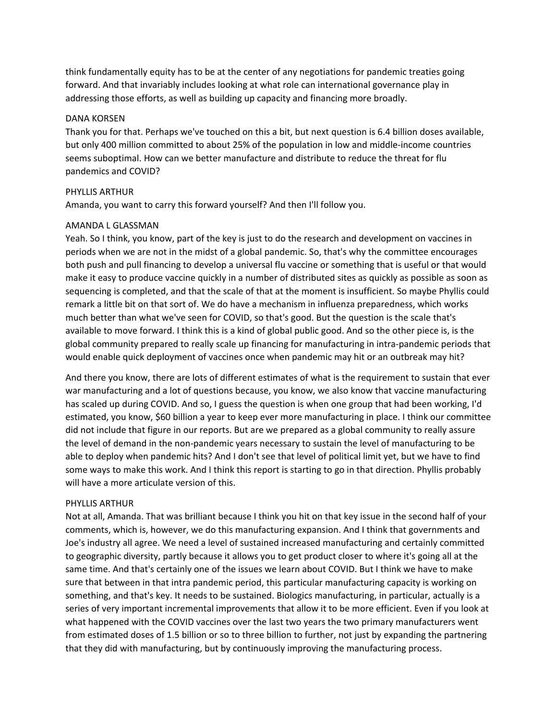think fundamentally equity has to be at the center of any negotiations for pandemic treaties going forward. And that invariably includes looking at what role can international governance play in addressing those efforts, as well as building up capacity and financing more broadly.

### DANA KORSEN

Thank you for that. Perhaps we've touched on this a bit, but next question is 6.4 billion doses available, but only 400 million committed to about 25% of the population in low and middle‐income countries seems suboptimal. How can we better manufacture and distribute to reduce the threat for flu pandemics and COVID?

# PHYLLIS ARTHUR

Amanda, you want to carry this forward yourself? And then I'll follow you.

# AMANDA L GLASSMAN

Yeah. So I think, you know, part of the key is just to do the research and development on vaccines in periods when we are not in the midst of a global pandemic. So, that's why the committee encourages both push and pull financing to develop a universal flu vaccine or something that is useful or that would make it easy to produce vaccine quickly in a number of distributed sites as quickly as possible as soon as sequencing is completed, and that the scale of that at the moment is insufficient. So maybe Phyllis could remark a little bit on that sort of. We do have a mechanism in influenza preparedness, which works much better than what we've seen for COVID, so that's good. But the question is the scale that's available to move forward. I think this is a kind of global public good. And so the other piece is, is the global community prepared to really scale up financing for manufacturing in intra‐pandemic periods that would enable quick deployment of vaccines once when pandemic may hit or an outbreak may hit?

And there you know, there are lots of different estimates of what is the requirement to sustain that ever war manufacturing and a lot of questions because, you know, we also know that vaccine manufacturing has scaled up during COVID. And so, I guess the question is when one group that had been working, I'd estimated, you know, \$60 billion a year to keep ever more manufacturing in place. I think our committee did not include that figure in our reports. But are we prepared as a global community to really assure the level of demand in the non‐pandemic years necessary to sustain the level of manufacturing to be able to deploy when pandemic hits? And I don't see that level of political limit yet, but we have to find some ways to make this work. And I think this report is starting to go in that direction. Phyllis probably will have a more articulate version of this.

#### PHYLLIS ARTHUR

Not at all, Amanda. That was brilliant because I think you hit on that key issue in the second half of your comments, which is, however, we do this manufacturing expansion. And I think that governments and Joe's industry all agree. We need a level of sustained increased manufacturing and certainly committed to geographic diversity, partly because it allows you to get product closer to where it's going all at the same time. And that's certainly one of the issues we learn about COVID. But I think we have to make sure that between in that intra pandemic period, this particular manufacturing capacity is working on something, and that's key. It needs to be sustained. Biologics manufacturing, in particular, actually is a series of very important incremental improvements that allow it to be more efficient. Even if you look at what happened with the COVID vaccines over the last two years the two primary manufacturers went from estimated doses of 1.5 billion or so to three billion to further, not just by expanding the partnering that they did with manufacturing, but by continuously improving the manufacturing process.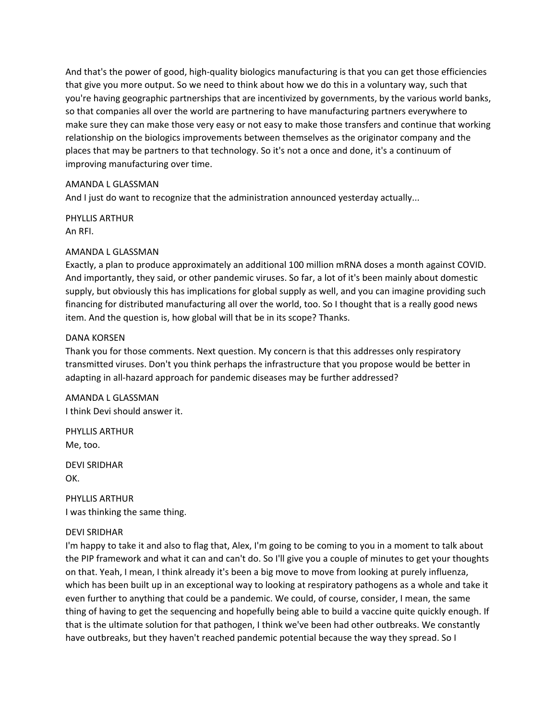And that's the power of good, high-quality biologics manufacturing is that you can get those efficiencies that give you more output. So we need to think about how we do this in a voluntary way, such that you're having geographic partnerships that are incentivized by governments, by the various world banks, so that companies all over the world are partnering to have manufacturing partners everywhere to make sure they can make those very easy or not easy to make those transfers and continue that working relationship on the biologics improvements between themselves as the originator company and the places that may be partners to that technology. So it's not a once and done, it's a continuum of improving manufacturing over time.

# AMANDA L GLASSMAN

And I just do want to recognize that the administration announced yesterday actually...

PHYLLIS ARTHUR An RFI.

# AMANDA L GLASSMAN

Exactly, a plan to produce approximately an additional 100 million mRNA doses a month against COVID. And importantly, they said, or other pandemic viruses. So far, a lot of it's been mainly about domestic supply, but obviously this has implications for global supply as well, and you can imagine providing such financing for distributed manufacturing all over the world, too. So I thought that is a really good news item. And the question is, how global will that be in its scope? Thanks.

# DANA KORSEN

Thank you for those comments. Next question. My concern is that this addresses only respiratory transmitted viruses. Don't you think perhaps the infrastructure that you propose would be better in adapting in all-hazard approach for pandemic diseases may be further addressed?

AMANDA L GLASSMAN I think Devi should answer it.

PHYLLIS ARTHUR Me, too.

DEVI SRIDHAR OK.

PHYLLIS ARTHUR I was thinking the same thing.

#### DEVI SRIDHAR

I'm happy to take it and also to flag that, Alex, I'm going to be coming to you in a moment to talk about the PIP framework and what it can and can't do. So I'll give you a couple of minutes to get your thoughts on that. Yeah, I mean, I think already it's been a big move to move from looking at purely influenza, which has been built up in an exceptional way to looking at respiratory pathogens as a whole and take it even further to anything that could be a pandemic. We could, of course, consider, I mean, the same thing of having to get the sequencing and hopefully being able to build a vaccine quite quickly enough. If that is the ultimate solution for that pathogen, I think we've been had other outbreaks. We constantly have outbreaks, but they haven't reached pandemic potential because the way they spread. So I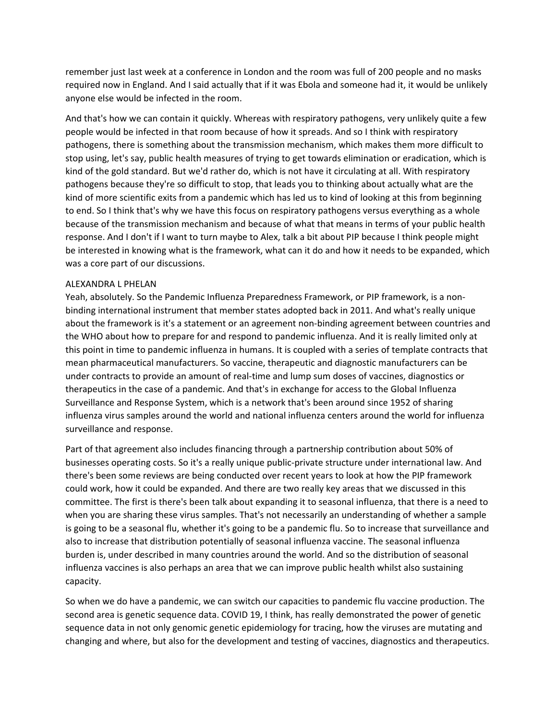remember just last week at a conference in London and the room was full of 200 people and no masks required now in England. And I said actually that if it was Ebola and someone had it, it would be unlikely anyone else would be infected in the room.

And that's how we can contain it quickly. Whereas with respiratory pathogens, very unlikely quite a few people would be infected in that room because of how it spreads. And so I think with respiratory pathogens, there is something about the transmission mechanism, which makes them more difficult to stop using, let's say, public health measures of trying to get towards elimination or eradication, which is kind of the gold standard. But we'd rather do, which is not have it circulating at all. With respiratory pathogens because they're so difficult to stop, that leads you to thinking about actually what are the kind of more scientific exits from a pandemic which has led us to kind of looking at this from beginning to end. So I think that's why we have this focus on respiratory pathogens versus everything as a whole because of the transmission mechanism and because of what that means in terms of your public health response. And I don't if I want to turn maybe to Alex, talk a bit about PIP because I think people might be interested in knowing what is the framework, what can it do and how it needs to be expanded, which was a core part of our discussions.

# ALEXANDRA L PHELAN

Yeah, absolutely. So the Pandemic Influenza Preparedness Framework, or PIP framework, is a non‐ binding international instrument that member states adopted back in 2011. And what's really unique about the framework is it's a statement or an agreement non‐binding agreement between countries and the WHO about how to prepare for and respond to pandemic influenza. And it is really limited only at this point in time to pandemic influenza in humans. It is coupled with a series of template contracts that mean pharmaceutical manufacturers. So vaccine, therapeutic and diagnostic manufacturers can be under contracts to provide an amount of real‐time and lump sum doses of vaccines, diagnostics or therapeutics in the case of a pandemic. And that's in exchange for access to the Global Influenza Surveillance and Response System, which is a network that's been around since 1952 of sharing influenza virus samples around the world and national influenza centers around the world for influenza surveillance and response.

Part of that agreement also includes financing through a partnership contribution about 50% of businesses operating costs. So it's a really unique public‐private structure under international law. And there's been some reviews are being conducted over recent years to look at how the PIP framework could work, how it could be expanded. And there are two really key areas that we discussed in this committee. The first is there's been talk about expanding it to seasonal influenza, that there is a need to when you are sharing these virus samples. That's not necessarily an understanding of whether a sample is going to be a seasonal flu, whether it's going to be a pandemic flu. So to increase that surveillance and also to increase that distribution potentially of seasonal influenza vaccine. The seasonal influenza burden is, under described in many countries around the world. And so the distribution of seasonal influenza vaccines is also perhaps an area that we can improve public health whilst also sustaining capacity.

So when we do have a pandemic, we can switch our capacities to pandemic flu vaccine production. The second area is genetic sequence data. COVID 19, I think, has really demonstrated the power of genetic sequence data in not only genomic genetic epidemiology for tracing, how the viruses are mutating and changing and where, but also for the development and testing of vaccines, diagnostics and therapeutics.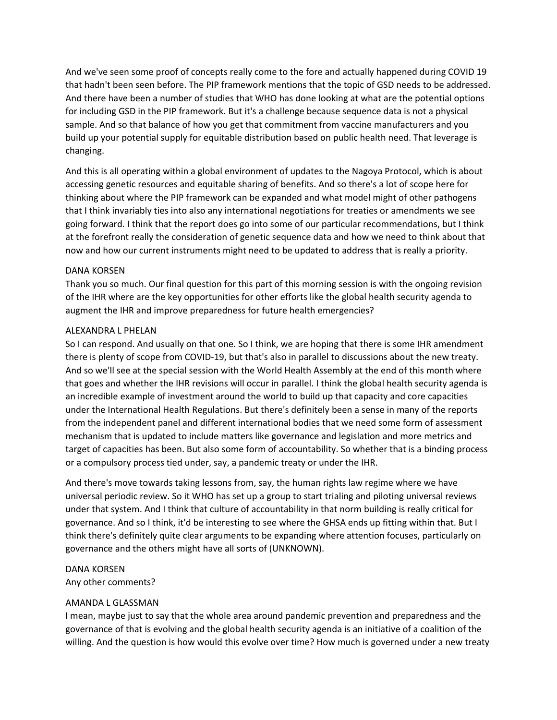And we've seen some proof of concepts really come to the fore and actually happened during COVID 19 that hadn't been seen before. The PIP framework mentions that the topic of GSD needs to be addressed. And there have been a number of studies that WHO has done looking at what are the potential options for including GSD in the PIP framework. But it's a challenge because sequence data is not a physical sample. And so that balance of how you get that commitment from vaccine manufacturers and you build up your potential supply for equitable distribution based on public health need. That leverage is changing.

And this is all operating within a global environment of updates to the Nagoya Protocol, which is about accessing genetic resources and equitable sharing of benefits. And so there's a lot of scope here for thinking about where the PIP framework can be expanded and what model might of other pathogens that I think invariably ties into also any international negotiations for treaties or amendments we see going forward. I think that the report does go into some of our particular recommendations, but I think at the forefront really the consideration of genetic sequence data and how we need to think about that now and how our current instruments might need to be updated to address that is really a priority.

# DANA KORSEN

Thank you so much. Our final question for this part of this morning session is with the ongoing revision of the IHR where are the key opportunities for other efforts like the global health security agenda to augment the IHR and improve preparedness for future health emergencies?

# ALEXANDRA L PHELAN

So I can respond. And usually on that one. So I think, we are hoping that there is some IHR amendment there is plenty of scope from COVID‐19, but that's also in parallel to discussions about the new treaty. And so we'll see at the special session with the World Health Assembly at the end of this month where that goes and whether the IHR revisions will occur in parallel. I think the global health security agenda is an incredible example of investment around the world to build up that capacity and core capacities under the International Health Regulations. But there's definitely been a sense in many of the reports from the independent panel and different international bodies that we need some form of assessment mechanism that is updated to include matters like governance and legislation and more metrics and target of capacities has been. But also some form of accountability. So whether that is a binding process or a compulsory process tied under, say, a pandemic treaty or under the IHR.

And there's move towards taking lessons from, say, the human rights law regime where we have universal periodic review. So it WHO has set up a group to start trialing and piloting universal reviews under that system. And I think that culture of accountability in that norm building is really critical for governance. And so I think, it'd be interesting to see where the GHSA ends up fitting within that. But I think there's definitely quite clear arguments to be expanding where attention focuses, particularly on governance and the others might have all sorts of (UNKNOWN).

# DANA KORSEN

Any other comments?

# AMANDA L GLASSMAN

I mean, maybe just to say that the whole area around pandemic prevention and preparedness and the governance of that is evolving and the global health security agenda is an initiative of a coalition of the willing. And the question is how would this evolve over time? How much is governed under a new treaty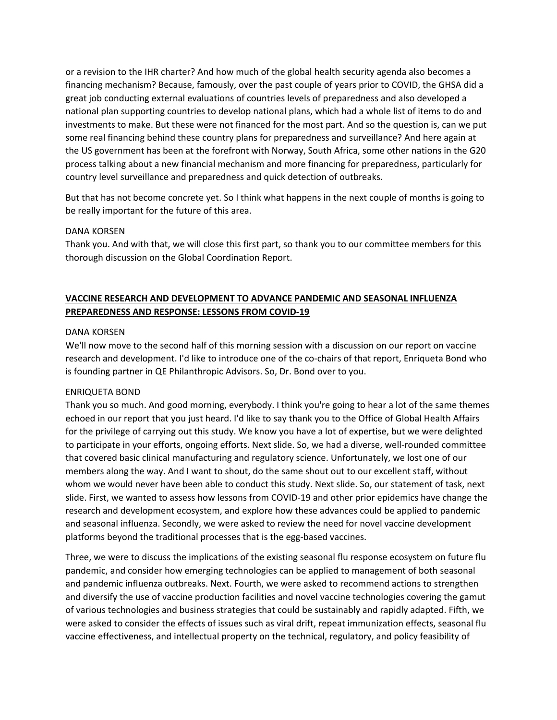or a revision to the IHR charter? And how much of the global health security agenda also becomes a financing mechanism? Because, famously, over the past couple of years prior to COVID, the GHSA did a great job conducting external evaluations of countries levels of preparedness and also developed a national plan supporting countries to develop national plans, which had a whole list of items to do and investments to make. But these were not financed for the most part. And so the question is, can we put some real financing behind these country plans for preparedness and surveillance? And here again at the US government has been at the forefront with Norway, South Africa, some other nations in the G20 process talking about a new financial mechanism and more financing for preparedness, particularly for country level surveillance and preparedness and quick detection of outbreaks.

But that has not become concrete yet. So I think what happens in the next couple of months is going to be really important for the future of this area.

# DANA KORSEN

Thank you. And with that, we will close this first part, so thank you to our committee members for this thorough discussion on the Global Coordination Report.

# **VACCINE RESEARCH AND DEVELOPMENT TO ADVANCE PANDEMIC AND SEASONAL INFLUENZA PREPAREDNESS AND RESPONSE: LESSONS FROM COVID‐19**

# DANA KORSEN

We'll now move to the second half of this morning session with a discussion on our report on vaccine research and development. I'd like to introduce one of the co-chairs of that report, Enriqueta Bond who is founding partner in QE Philanthropic Advisors. So, Dr. Bond over to you.

# ENRIQUETA BOND

Thank you so much. And good morning, everybody. I think you're going to hear a lot of the same themes echoed in our report that you just heard. I'd like to say thank you to the Office of Global Health Affairs for the privilege of carrying out this study. We know you have a lot of expertise, but we were delighted to participate in your efforts, ongoing efforts. Next slide. So, we had a diverse, well-rounded committee that covered basic clinical manufacturing and regulatory science. Unfortunately, we lost one of our members along the way. And I want to shout, do the same shout out to our excellent staff, without whom we would never have been able to conduct this study. Next slide. So, our statement of task, next slide. First, we wanted to assess how lessons from COVID‐19 and other prior epidemics have change the research and development ecosystem, and explore how these advances could be applied to pandemic and seasonal influenza. Secondly, we were asked to review the need for novel vaccine development platforms beyond the traditional processes that is the egg-based vaccines.

Three, we were to discuss the implications of the existing seasonal flu response ecosystem on future flu pandemic, and consider how emerging technologies can be applied to management of both seasonal and pandemic influenza outbreaks. Next. Fourth, we were asked to recommend actions to strengthen and diversify the use of vaccine production facilities and novel vaccine technologies covering the gamut of various technologies and business strategies that could be sustainably and rapidly adapted. Fifth, we were asked to consider the effects of issues such as viral drift, repeat immunization effects, seasonal flu vaccine effectiveness, and intellectual property on the technical, regulatory, and policy feasibility of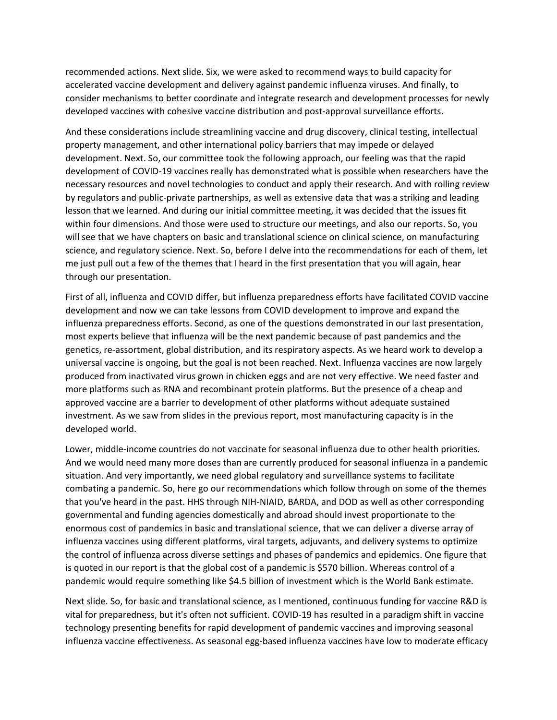recommended actions. Next slide. Six, we were asked to recommend ways to build capacity for accelerated vaccine development and delivery against pandemic influenza viruses. And finally, to consider mechanisms to better coordinate and integrate research and development processes for newly developed vaccines with cohesive vaccine distribution and post-approval surveillance efforts.

And these considerations include streamlining vaccine and drug discovery, clinical testing, intellectual property management, and other international policy barriers that may impede or delayed development. Next. So, our committee took the following approach, our feeling was that the rapid development of COVID‐19 vaccines really has demonstrated what is possible when researchers have the necessary resources and novel technologies to conduct and apply their research. And with rolling review by regulators and public‐private partnerships, as well as extensive data that was a striking and leading lesson that we learned. And during our initial committee meeting, it was decided that the issues fit within four dimensions. And those were used to structure our meetings, and also our reports. So, you will see that we have chapters on basic and translational science on clinical science, on manufacturing science, and regulatory science. Next. So, before I delve into the recommendations for each of them, let me just pull out a few of the themes that I heard in the first presentation that you will again, hear through our presentation.

First of all, influenza and COVID differ, but influenza preparedness efforts have facilitated COVID vaccine development and now we can take lessons from COVID development to improve and expand the influenza preparedness efforts. Second, as one of the questions demonstrated in our last presentation, most experts believe that influenza will be the next pandemic because of past pandemics and the genetics, re‐assortment, global distribution, and its respiratory aspects. As we heard work to develop a universal vaccine is ongoing, but the goal is not been reached. Next. Influenza vaccines are now largely produced from inactivated virus grown in chicken eggs and are not very effective. We need faster and more platforms such as RNA and recombinant protein platforms. But the presence of a cheap and approved vaccine are a barrier to development of other platforms without adequate sustained investment. As we saw from slides in the previous report, most manufacturing capacity is in the developed world.

Lower, middle-income countries do not vaccinate for seasonal influenza due to other health priorities. And we would need many more doses than are currently produced for seasonal influenza in a pandemic situation. And very importantly, we need global regulatory and surveillance systems to facilitate combating a pandemic. So, here go our recommendations which follow through on some of the themes that you've heard in the past. HHS through NIH‐NIAID, BARDA, and DOD as well as other corresponding governmental and funding agencies domestically and abroad should invest proportionate to the enormous cost of pandemics in basic and translational science, that we can deliver a diverse array of influenza vaccines using different platforms, viral targets, adjuvants, and delivery systems to optimize the control of influenza across diverse settings and phases of pandemics and epidemics. One figure that is quoted in our report is that the global cost of a pandemic is \$570 billion. Whereas control of a pandemic would require something like \$4.5 billion of investment which is the World Bank estimate.

Next slide. So, for basic and translational science, as I mentioned, continuous funding for vaccine R&D is vital for preparedness, but it's often not sufficient. COVID‐19 has resulted in a paradigm shift in vaccine technology presenting benefits for rapid development of pandemic vaccines and improving seasonal influenza vaccine effectiveness. As seasonal egg‐based influenza vaccines have low to moderate efficacy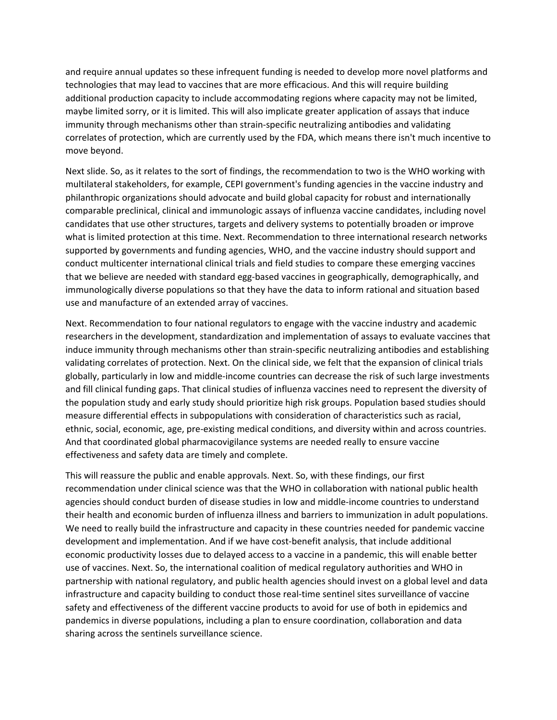and require annual updates so these infrequent funding is needed to develop more novel platforms and technologies that may lead to vaccines that are more efficacious. And this will require building additional production capacity to include accommodating regions where capacity may not be limited, maybe limited sorry, or it is limited. This will also implicate greater application of assays that induce immunity through mechanisms other than strain-specific neutralizing antibodies and validating correlates of protection, which are currently used by the FDA, which means there isn't much incentive to move beyond.

Next slide. So, as it relates to the sort of findings, the recommendation to two is the WHO working with multilateral stakeholders, for example, CEPI government's funding agencies in the vaccine industry and philanthropic organizations should advocate and build global capacity for robust and internationally comparable preclinical, clinical and immunologic assays of influenza vaccine candidates, including novel candidates that use other structures, targets and delivery systems to potentially broaden or improve what is limited protection at this time. Next. Recommendation to three international research networks supported by governments and funding agencies, WHO, and the vaccine industry should support and conduct multicenter international clinical trials and field studies to compare these emerging vaccines that we believe are needed with standard egg‐based vaccines in geographically, demographically, and immunologically diverse populations so that they have the data to inform rational and situation based use and manufacture of an extended array of vaccines.

Next. Recommendation to four national regulators to engage with the vaccine industry and academic researchers in the development, standardization and implementation of assays to evaluate vaccines that induce immunity through mechanisms other than strain-specific neutralizing antibodies and establishing validating correlates of protection. Next. On the clinical side, we felt that the expansion of clinical trials globally, particularly in low and middle‐income countries can decrease the risk of such large investments and fill clinical funding gaps. That clinical studies of influenza vaccines need to represent the diversity of the population study and early study should prioritize high risk groups. Population based studies should measure differential effects in subpopulations with consideration of characteristics such as racial, ethnic, social, economic, age, pre‐existing medical conditions, and diversity within and across countries. And that coordinated global pharmacovigilance systems are needed really to ensure vaccine effectiveness and safety data are timely and complete.

This will reassure the public and enable approvals. Next. So, with these findings, our first recommendation under clinical science was that the WHO in collaboration with national public health agencies should conduct burden of disease studies in low and middle‐income countries to understand their health and economic burden of influenza illness and barriers to immunization in adult populations. We need to really build the infrastructure and capacity in these countries needed for pandemic vaccine development and implementation. And if we have cost-benefit analysis, that include additional economic productivity losses due to delayed access to a vaccine in a pandemic, this will enable better use of vaccines. Next. So, the international coalition of medical regulatory authorities and WHO in partnership with national regulatory, and public health agencies should invest on a global level and data infrastructure and capacity building to conduct those real‐time sentinel sites surveillance of vaccine safety and effectiveness of the different vaccine products to avoid for use of both in epidemics and pandemics in diverse populations, including a plan to ensure coordination, collaboration and data sharing across the sentinels surveillance science.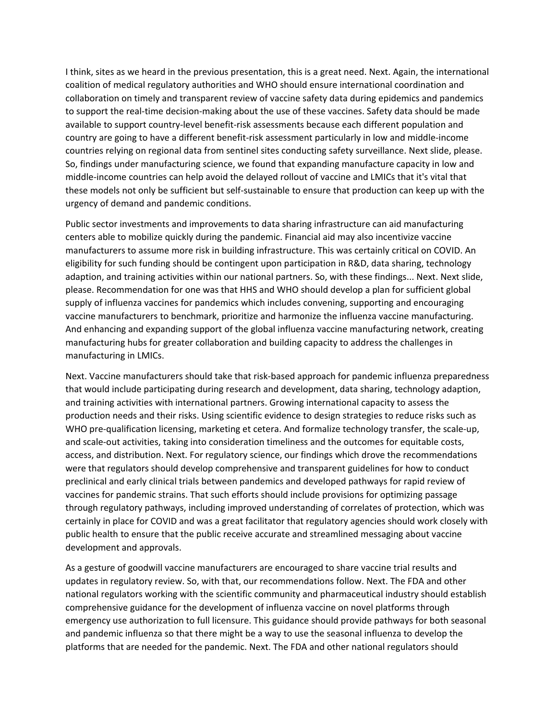I think, sites as we heard in the previous presentation, this is a great need. Next. Again, the international coalition of medical regulatory authorities and WHO should ensure international coordination and collaboration on timely and transparent review of vaccine safety data during epidemics and pandemics to support the real-time decision-making about the use of these vaccines. Safety data should be made available to support country‐level benefit‐risk assessments because each different population and country are going to have a different benefit‐risk assessment particularly in low and middle‐income countries relying on regional data from sentinel sites conducting safety surveillance. Next slide, please. So, findings under manufacturing science, we found that expanding manufacture capacity in low and middle‐income countries can help avoid the delayed rollout of vaccine and LMICs that it's vital that these models not only be sufficient but self‐sustainable to ensure that production can keep up with the urgency of demand and pandemic conditions.

Public sector investments and improvements to data sharing infrastructure can aid manufacturing centers able to mobilize quickly during the pandemic. Financial aid may also incentivize vaccine manufacturers to assume more risk in building infrastructure. This was certainly critical on COVID. An eligibility for such funding should be contingent upon participation in R&D, data sharing, technology adaption, and training activities within our national partners. So, with these findings... Next. Next slide, please. Recommendation for one was that HHS and WHO should develop a plan for sufficient global supply of influenza vaccines for pandemics which includes convening, supporting and encouraging vaccine manufacturers to benchmark, prioritize and harmonize the influenza vaccine manufacturing. And enhancing and expanding support of the global influenza vaccine manufacturing network, creating manufacturing hubs for greater collaboration and building capacity to address the challenges in manufacturing in LMICs.

Next. Vaccine manufacturers should take that risk‐based approach for pandemic influenza preparedness that would include participating during research and development, data sharing, technology adaption, and training activities with international partners. Growing international capacity to assess the production needs and their risks. Using scientific evidence to design strategies to reduce risks such as WHO pre-qualification licensing, marketing et cetera. And formalize technology transfer, the scale-up, and scale-out activities, taking into consideration timeliness and the outcomes for equitable costs, access, and distribution. Next. For regulatory science, our findings which drove the recommendations were that regulators should develop comprehensive and transparent guidelines for how to conduct preclinical and early clinical trials between pandemics and developed pathways for rapid review of vaccines for pandemic strains. That such efforts should include provisions for optimizing passage through regulatory pathways, including improved understanding of correlates of protection, which was certainly in place for COVID and was a great facilitator that regulatory agencies should work closely with public health to ensure that the public receive accurate and streamlined messaging about vaccine development and approvals.

As a gesture of goodwill vaccine manufacturers are encouraged to share vaccine trial results and updates in regulatory review. So, with that, our recommendations follow. Next. The FDA and other national regulators working with the scientific community and pharmaceutical industry should establish comprehensive guidance for the development of influenza vaccine on novel platforms through emergency use authorization to full licensure. This guidance should provide pathways for both seasonal and pandemic influenza so that there might be a way to use the seasonal influenza to develop the platforms that are needed for the pandemic. Next. The FDA and other national regulators should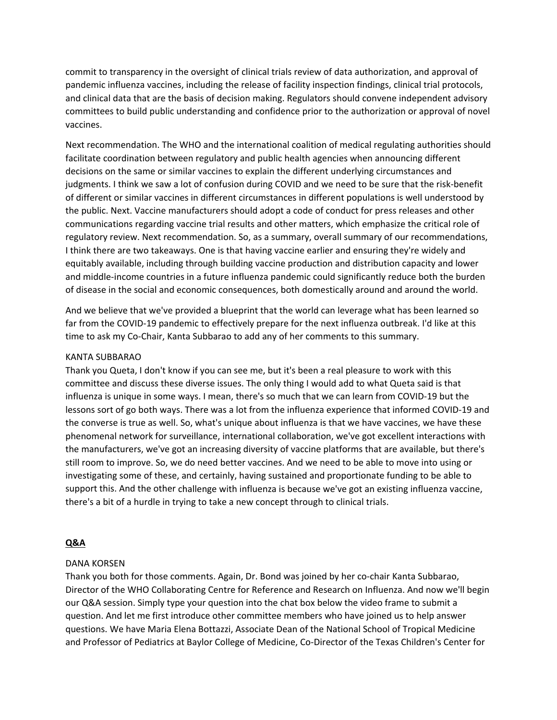commit to transparency in the oversight of clinical trials review of data authorization, and approval of pandemic influenza vaccines, including the release of facility inspection findings, clinical trial protocols, and clinical data that are the basis of decision making. Regulators should convene independent advisory committees to build public understanding and confidence prior to the authorization or approval of novel vaccines.

Next recommendation. The WHO and the international coalition of medical regulating authorities should facilitate coordination between regulatory and public health agencies when announcing different decisions on the same or similar vaccines to explain the different underlying circumstances and judgments. I think we saw a lot of confusion during COVID and we need to be sure that the risk‐benefit of different or similar vaccines in different circumstances in different populations is well understood by the public. Next. Vaccine manufacturers should adopt a code of conduct for press releases and other communications regarding vaccine trial results and other matters, which emphasize the critical role of regulatory review. Next recommendation. So, as a summary, overall summary of our recommendations, I think there are two takeaways. One is that having vaccine earlier and ensuring they're widely and equitably available, including through building vaccine production and distribution capacity and lower and middle‐income countries in a future influenza pandemic could significantly reduce both the burden of disease in the social and economic consequences, both domestically around and around the world.

And we believe that we've provided a blueprint that the world can leverage what has been learned so far from the COVID-19 pandemic to effectively prepare for the next influenza outbreak. I'd like at this time to ask my Co-Chair, Kanta Subbarao to add any of her comments to this summary.

# KANTA SUBBARAO

Thank you Queta, I don't know if you can see me, but it's been a real pleasure to work with this committee and discuss these diverse issues. The only thing I would add to what Queta said is that influenza is unique in some ways. I mean, there's so much that we can learn from COVID‐19 but the lessons sort of go both ways. There was a lot from the influenza experience that informed COVID‐19 and the converse is true as well. So, what's unique about influenza is that we have vaccines, we have these phenomenal network for surveillance, international collaboration, we've got excellent interactions with the manufacturers, we've got an increasing diversity of vaccine platforms that are available, but there's still room to improve. So, we do need better vaccines. And we need to be able to move into using or investigating some of these, and certainly, having sustained and proportionate funding to be able to support this. And the other challenge with influenza is because we've got an existing influenza vaccine, there's a bit of a hurdle in trying to take a new concept through to clinical trials.

# **Q&A**

#### DANA KORSEN

Thank you both for those comments. Again, Dr. Bond was joined by her co‐chair Kanta Subbarao, Director of the WHO Collaborating Centre for Reference and Research on Influenza. And now we'll begin our Q&A session. Simply type your question into the chat box below the video frame to submit a question. And let me first introduce other committee members who have joined us to help answer questions. We have Maria Elena Bottazzi, Associate Dean of the National School of Tropical Medicine and Professor of Pediatrics at Baylor College of Medicine, Co‐Director of the Texas Children's Center for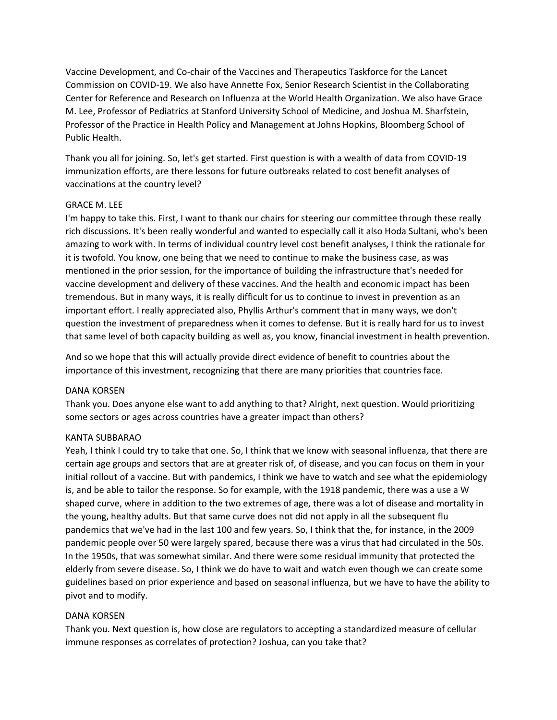Vaccine Development, and Co‐chair of the Vaccines and Therapeutics Taskforce for the Lancet Commission on COVID‐19. We also have Annette Fox, Senior Research Scientist in the Collaborating Center for Reference and Research on Influenza at the World Health Organization. We also have Grace M. Lee, Professor of Pediatrics at Stanford University School of Medicine, and Joshua M. Sharfstein, Professor of the Practice in Health Policy and Management at Johns Hopkins, Bloomberg School of Public Health.

Thank you all for joining. So, let's get started. First question is with a wealth of data from COVID‐19 immunization efforts, are there lessons for future outbreaks related to cost benefit analyses of vaccinations at the country level?

# GRACE M. LEE

I'm happy to take this. First, I want to thank our chairs for steering our committee through these really rich discussions. It's been really wonderful and wanted to especially call it also Hoda Sultani, who's been amazing to work with. In terms of individual country level cost benefit analyses, I think the rationale for it is twofold. You know, one being that we need to continue to make the business case, as was mentioned in the prior session, for the importance of building the infrastructure that's needed for vaccine development and delivery of these vaccines. And the health and economic impact has been tremendous. But in many ways, it is really difficult for us to continue to invest in prevention as an important effort. I really appreciated also, Phyllis Arthur's comment that in many ways, we don't question the investment of preparedness when it comes to defense. But it is really hard for us to invest that same level of both capacity building as well as, you know, financial investment in health prevention.

And so we hope that this will actually provide direct evidence of benefit to countries about the importance of this investment, recognizing that there are many priorities that countries face.

# DANA KORSEN

Thank you. Does anyone else want to add anything to that? Alright, next question. Would prioritizing some sectors or ages across countries have a greater impact than others?

# KANTA SUBBARAO

Yeah, I think I could try to take that one. So, I think that we know with seasonal influenza, that there are certain age groups and sectors that are at greater risk of, of disease, and you can focus on them in your initial rollout of a vaccine. But with pandemics, I think we have to watch and see what the epidemiology is, and be able to tailor the response. So for example, with the 1918 pandemic, there was a use a W shaped curve, where in addition to the two extremes of age, there was a lot of disease and mortality in the young, healthy adults. But that same curve does not did not apply in all the subsequent flu pandemics that we've had in the last 100 and few years. So, I think that the, for instance, in the 2009 pandemic people over 50 were largely spared, because there was a virus that had circulated in the 50s. In the 1950s, that was somewhat similar. And there were some residual immunity that protected the elderly from severe disease. So, I think we do have to wait and watch even though we can create some guidelines based on prior experience and based on seasonal influenza, but we have to have the ability to pivot and to modify.

# DANA KORSEN

Thank you. Next question is, how close are regulators to accepting a standardized measure of cellular immune responses as correlates of protection? Joshua, can you take that?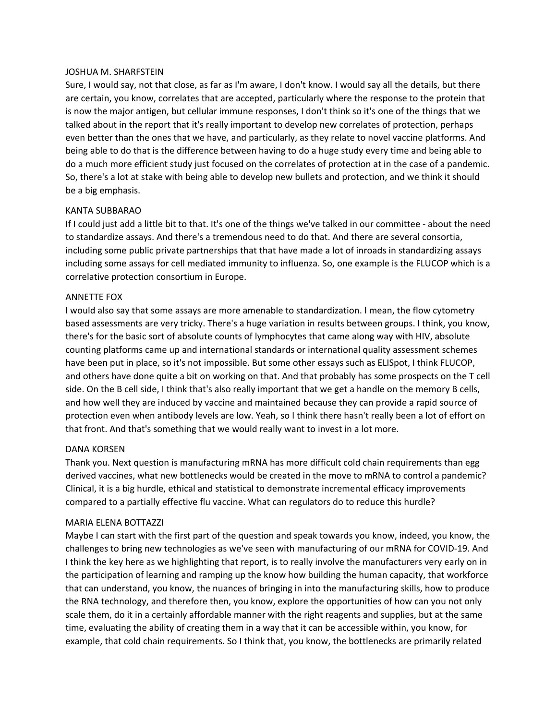#### JOSHUA M. SHARFSTEIN

Sure, I would say, not that close, as far as I'm aware, I don't know. I would say all the details, but there are certain, you know, correlates that are accepted, particularly where the response to the protein that is now the major antigen, but cellular immune responses, I don't think so it's one of the things that we talked about in the report that it's really important to develop new correlates of protection, perhaps even better than the ones that we have, and particularly, as they relate to novel vaccine platforms. And being able to do that is the difference between having to do a huge study every time and being able to do a much more efficient study just focused on the correlates of protection at in the case of a pandemic. So, there's a lot at stake with being able to develop new bullets and protection, and we think it should be a big emphasis.

#### KANTA SUBBARAO

If I could just add a little bit to that. It's one of the things we've talked in our committee ‐ about the need to standardize assays. And there's a tremendous need to do that. And there are several consortia, including some public private partnerships that that have made a lot of inroads in standardizing assays including some assays for cell mediated immunity to influenza. So, one example is the FLUCOP which is a correlative protection consortium in Europe.

# ANNETTE FOX

I would also say that some assays are more amenable to standardization. I mean, the flow cytometry based assessments are very tricky. There's a huge variation in results between groups. I think, you know, there's for the basic sort of absolute counts of lymphocytes that came along way with HIV, absolute counting platforms came up and international standards or international quality assessment schemes have been put in place, so it's not impossible. But some other essays such as ELISpot, I think FLUCOP, and others have done quite a bit on working on that. And that probably has some prospects on the T cell side. On the B cell side, I think that's also really important that we get a handle on the memory B cells, and how well they are induced by vaccine and maintained because they can provide a rapid source of protection even when antibody levels are low. Yeah, so I think there hasn't really been a lot of effort on that front. And that's something that we would really want to invest in a lot more.

#### DANA KORSEN

Thank you. Next question is manufacturing mRNA has more difficult cold chain requirements than egg derived vaccines, what new bottlenecks would be created in the move to mRNA to control a pandemic? Clinical, it is a big hurdle, ethical and statistical to demonstrate incremental efficacy improvements compared to a partially effective flu vaccine. What can regulators do to reduce this hurdle?

#### MARIA ELENA BOTTAZZI

Maybe I can start with the first part of the question and speak towards you know, indeed, you know, the challenges to bring new technologies as we've seen with manufacturing of our mRNA for COVID‐19. And I think the key here as we highlighting that report, is to really involve the manufacturers very early on in the participation of learning and ramping up the know how building the human capacity, that workforce that can understand, you know, the nuances of bringing in into the manufacturing skills, how to produce the RNA technology, and therefore then, you know, explore the opportunities of how can you not only scale them, do it in a certainly affordable manner with the right reagents and supplies, but at the same time, evaluating the ability of creating them in a way that it can be accessible within, you know, for example, that cold chain requirements. So I think that, you know, the bottlenecks are primarily related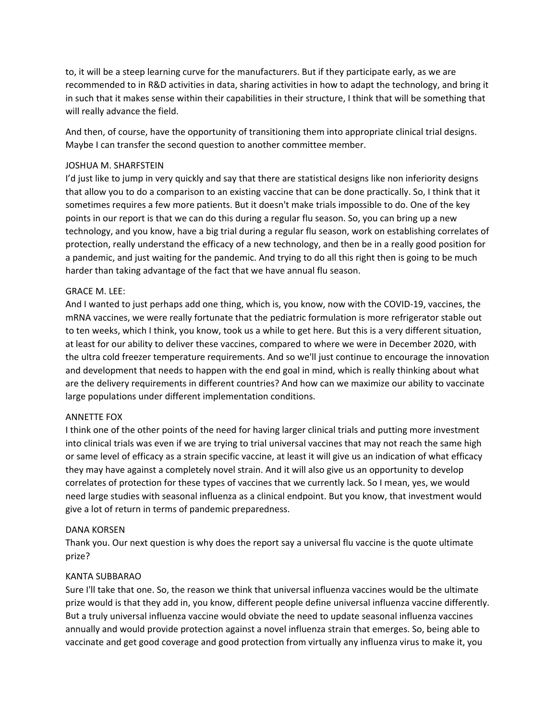to, it will be a steep learning curve for the manufacturers. But if they participate early, as we are recommended to in R&D activities in data, sharing activities in how to adapt the technology, and bring it in such that it makes sense within their capabilities in their structure, I think that will be something that will really advance the field.

And then, of course, have the opportunity of transitioning them into appropriate clinical trial designs. Maybe I can transfer the second question to another committee member.

# JOSHUA M. SHARFSTEIN

I'd just like to jump in very quickly and say that there are statistical designs like non inferiority designs that allow you to do a comparison to an existing vaccine that can be done practically. So, I think that it sometimes requires a few more patients. But it doesn't make trials impossible to do. One of the key points in our report is that we can do this during a regular flu season. So, you can bring up a new technology, and you know, have a big trial during a regular flu season, work on establishing correlates of protection, really understand the efficacy of a new technology, and then be in a really good position for a pandemic, and just waiting for the pandemic. And trying to do all this right then is going to be much harder than taking advantage of the fact that we have annual flu season.

#### GRACE M. LEE:

And I wanted to just perhaps add one thing, which is, you know, now with the COVID‐19, vaccines, the mRNA vaccines, we were really fortunate that the pediatric formulation is more refrigerator stable out to ten weeks, which I think, you know, took us a while to get here. But this is a very different situation, at least for our ability to deliver these vaccines, compared to where we were in December 2020, with the ultra cold freezer temperature requirements. And so we'll just continue to encourage the innovation and development that needs to happen with the end goal in mind, which is really thinking about what are the delivery requirements in different countries? And how can we maximize our ability to vaccinate large populations under different implementation conditions.

#### ANNETTE FOX

I think one of the other points of the need for having larger clinical trials and putting more investment into clinical trials was even if we are trying to trial universal vaccines that may not reach the same high or same level of efficacy as a strain specific vaccine, at least it will give us an indication of what efficacy they may have against a completely novel strain. And it will also give us an opportunity to develop correlates of protection for these types of vaccines that we currently lack. So I mean, yes, we would need large studies with seasonal influenza as a clinical endpoint. But you know, that investment would give a lot of return in terms of pandemic preparedness.

#### DANA KORSEN

Thank you. Our next question is why does the report say a universal flu vaccine is the quote ultimate prize?

#### KANTA SUBBARAO

Sure I'll take that one. So, the reason we think that universal influenza vaccines would be the ultimate prize would is that they add in, you know, different people define universal influenza vaccine differently. But a truly universal influenza vaccine would obviate the need to update seasonal influenza vaccines annually and would provide protection against a novel influenza strain that emerges. So, being able to vaccinate and get good coverage and good protection from virtually any influenza virus to make it, you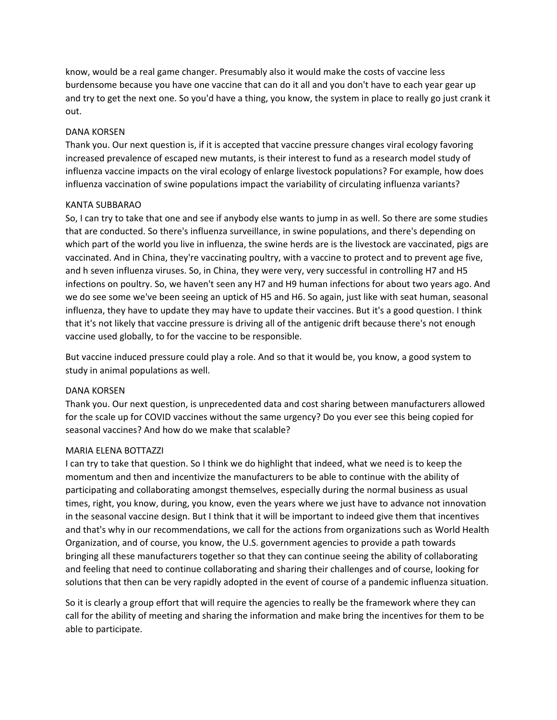know, would be a real game changer. Presumably also it would make the costs of vaccine less burdensome because you have one vaccine that can do it all and you don't have to each year gear up and try to get the next one. So you'd have a thing, you know, the system in place to really go just crank it out.

# DANA KORSEN

Thank you. Our next question is, if it is accepted that vaccine pressure changes viral ecology favoring increased prevalence of escaped new mutants, is their interest to fund as a research model study of influenza vaccine impacts on the viral ecology of enlarge livestock populations? For example, how does influenza vaccination of swine populations impact the variability of circulating influenza variants?

# KANTA SUBBARAO

So, I can try to take that one and see if anybody else wants to jump in as well. So there are some studies that are conducted. So there's influenza surveillance, in swine populations, and there's depending on which part of the world you live in influenza, the swine herds are is the livestock are vaccinated, pigs are vaccinated. And in China, they're vaccinating poultry, with a vaccine to protect and to prevent age five, and h seven influenza viruses. So, in China, they were very, very successful in controlling H7 and H5 infections on poultry. So, we haven't seen any H7 and H9 human infections for about two years ago. And we do see some we've been seeing an uptick of H5 and H6. So again, just like with seat human, seasonal influenza, they have to update they may have to update their vaccines. But it's a good question. I think that it's not likely that vaccine pressure is driving all of the antigenic drift because there's not enough vaccine used globally, to for the vaccine to be responsible.

But vaccine induced pressure could play a role. And so that it would be, you know, a good system to study in animal populations as well.

# DANA KORSEN

Thank you. Our next question, is unprecedented data and cost sharing between manufacturers allowed for the scale up for COVID vaccines without the same urgency? Do you ever see this being copied for seasonal vaccines? And how do we make that scalable?

# MARIA ELENA BOTTAZZI

I can try to take that question. So I think we do highlight that indeed, what we need is to keep the momentum and then and incentivize the manufacturers to be able to continue with the ability of participating and collaborating amongst themselves, especially during the normal business as usual times, right, you know, during, you know, even the years where we just have to advance not innovation in the seasonal vaccine design. But I think that it will be important to indeed give them that incentives and that's why in our recommendations, we call for the actions from organizations such as World Health Organization, and of course, you know, the U.S. government agencies to provide a path towards bringing all these manufacturers together so that they can continue seeing the ability of collaborating and feeling that need to continue collaborating and sharing their challenges and of course, looking for solutions that then can be very rapidly adopted in the event of course of a pandemic influenza situation.

So it is clearly a group effort that will require the agencies to really be the framework where they can call for the ability of meeting and sharing the information and make bring the incentives for them to be able to participate.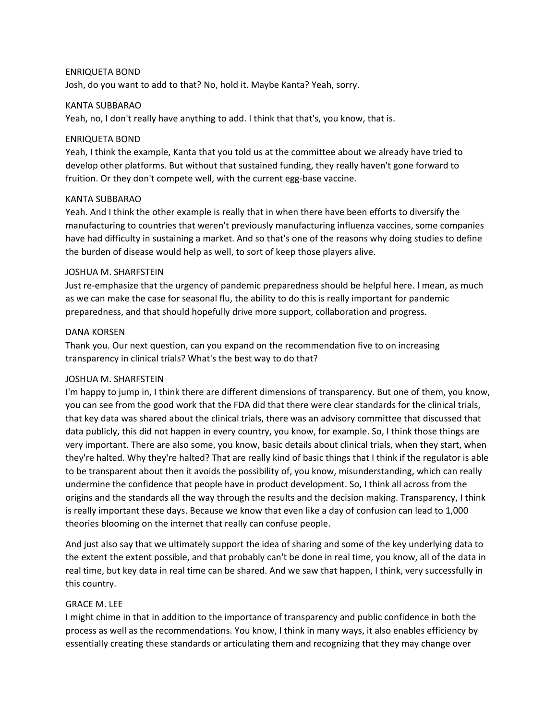# ENRIQUETA BOND

Josh, do you want to add to that? No, hold it. Maybe Kanta? Yeah, sorry.

### KANTA SUBBARAO

Yeah, no, I don't really have anything to add. I think that that's, you know, that is.

### ENRIQUETA BOND

Yeah, I think the example, Kanta that you told us at the committee about we already have tried to develop other platforms. But without that sustained funding, they really haven't gone forward to fruition. Or they don't compete well, with the current egg-base vaccine.

# KANTA SUBBARAO

Yeah. And I think the other example is really that in when there have been efforts to diversify the manufacturing to countries that weren't previously manufacturing influenza vaccines, some companies have had difficulty in sustaining a market. And so that's one of the reasons why doing studies to define the burden of disease would help as well, to sort of keep those players alive.

# JOSHUA M. SHARFSTEIN

Just re-emphasize that the urgency of pandemic preparedness should be helpful here. I mean, as much as we can make the case for seasonal flu, the ability to do this is really important for pandemic preparedness, and that should hopefully drive more support, collaboration and progress.

# DANA KORSEN

Thank you. Our next question, can you expand on the recommendation five to on increasing transparency in clinical trials? What's the best way to do that?

#### JOSHUA M. SHARFSTEIN

I'm happy to jump in, I think there are different dimensions of transparency. But one of them, you know, you can see from the good work that the FDA did that there were clear standards for the clinical trials, that key data was shared about the clinical trials, there was an advisory committee that discussed that data publicly, this did not happen in every country, you know, for example. So, I think those things are very important. There are also some, you know, basic details about clinical trials, when they start, when they're halted. Why they're halted? That are really kind of basic things that I think if the regulator is able to be transparent about then it avoids the possibility of, you know, misunderstanding, which can really undermine the confidence that people have in product development. So, I think all across from the origins and the standards all the way through the results and the decision making. Transparency, I think is really important these days. Because we know that even like a day of confusion can lead to 1,000 theories blooming on the internet that really can confuse people.

And just also say that we ultimately support the idea of sharing and some of the key underlying data to the extent the extent possible, and that probably can't be done in real time, you know, all of the data in real time, but key data in real time can be shared. And we saw that happen, I think, very successfully in this country.

# GRACE M. LEE

I might chime in that in addition to the importance of transparency and public confidence in both the process as well as the recommendations. You know, I think in many ways, it also enables efficiency by essentially creating these standards or articulating them and recognizing that they may change over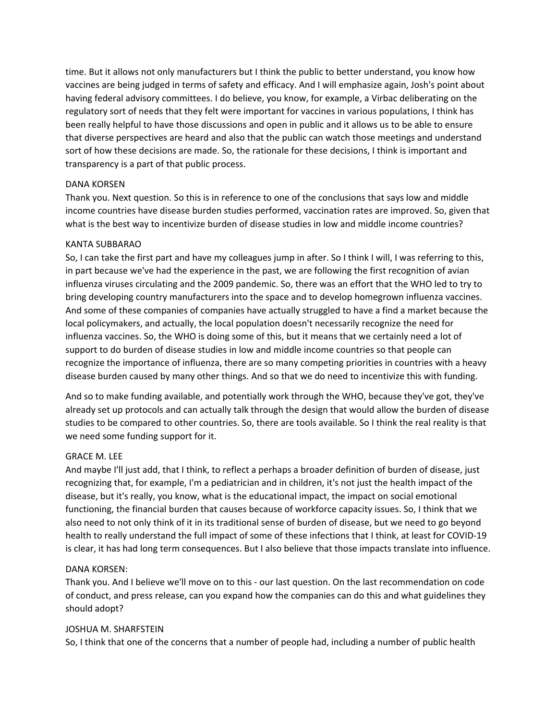time. But it allows not only manufacturers but I think the public to better understand, you know how vaccines are being judged in terms of safety and efficacy. And I will emphasize again, Josh's point about having federal advisory committees. I do believe, you know, for example, a Virbac deliberating on the regulatory sort of needs that they felt were important for vaccines in various populations, I think has been really helpful to have those discussions and open in public and it allows us to be able to ensure that diverse perspectives are heard and also that the public can watch those meetings and understand sort of how these decisions are made. So, the rationale for these decisions, I think is important and transparency is a part of that public process.

# DANA KORSEN

Thank you. Next question. So this is in reference to one of the conclusions that says low and middle income countries have disease burden studies performed, vaccination rates are improved. So, given that what is the best way to incentivize burden of disease studies in low and middle income countries?

# KANTA SUBBARAO

So, I can take the first part and have my colleagues jump in after. So I think I will, I was referring to this, in part because we've had the experience in the past, we are following the first recognition of avian influenza viruses circulating and the 2009 pandemic. So, there was an effort that the WHO led to try to bring developing country manufacturers into the space and to develop homegrown influenza vaccines. And some of these companies of companies have actually struggled to have a find a market because the local policymakers, and actually, the local population doesn't necessarily recognize the need for influenza vaccines. So, the WHO is doing some of this, but it means that we certainly need a lot of support to do burden of disease studies in low and middle income countries so that people can recognize the importance of influenza, there are so many competing priorities in countries with a heavy disease burden caused by many other things. And so that we do need to incentivize this with funding.

And so to make funding available, and potentially work through the WHO, because they've got, they've already set up protocols and can actually talk through the design that would allow the burden of disease studies to be compared to other countries. So, there are tools available. So I think the real reality is that we need some funding support for it.

# GRACE M. LEE

And maybe I'll just add, that I think, to reflect a perhaps a broader definition of burden of disease, just recognizing that, for example, I'm a pediatrician and in children, it's not just the health impact of the disease, but it's really, you know, what is the educational impact, the impact on social emotional functioning, the financial burden that causes because of workforce capacity issues. So, I think that we also need to not only think of it in its traditional sense of burden of disease, but we need to go beyond health to really understand the full impact of some of these infections that I think, at least for COVID‐19 is clear, it has had long term consequences. But I also believe that those impacts translate into influence.

# DANA KORSEN:

Thank you. And I believe we'll move on to this ‐ our last question. On the last recommendation on code of conduct, and press release, can you expand how the companies can do this and what guidelines they should adopt?

#### JOSHUA M. SHARFSTEIN

So, I think that one of the concerns that a number of people had, including a number of public health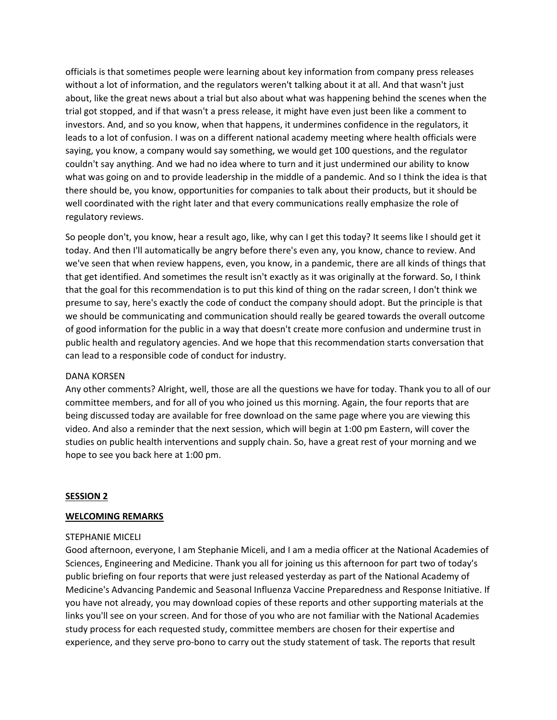officials is that sometimes people were learning about key information from company press releases without a lot of information, and the regulators weren't talking about it at all. And that wasn't just about, like the great news about a trial but also about what was happening behind the scenes when the trial got stopped, and if that wasn't a press release, it might have even just been like a comment to investors. And, and so you know, when that happens, it undermines confidence in the regulators, it leads to a lot of confusion. I was on a different national academy meeting where health officials were saying, you know, a company would say something, we would get 100 questions, and the regulator couldn't say anything. And we had no idea where to turn and it just undermined our ability to know what was going on and to provide leadership in the middle of a pandemic. And so I think the idea is that there should be, you know, opportunities for companies to talk about their products, but it should be well coordinated with the right later and that every communications really emphasize the role of regulatory reviews.

So people don't, you know, hear a result ago, like, why can I get this today? It seems like I should get it today. And then I'll automatically be angry before there's even any, you know, chance to review. And we've seen that when review happens, even, you know, in a pandemic, there are all kinds of things that that get identified. And sometimes the result isn't exactly as it was originally at the forward. So, I think that the goal for this recommendation is to put this kind of thing on the radar screen, I don't think we presume to say, here's exactly the code of conduct the company should adopt. But the principle is that we should be communicating and communication should really be geared towards the overall outcome of good information for the public in a way that doesn't create more confusion and undermine trust in public health and regulatory agencies. And we hope that this recommendation starts conversation that can lead to a responsible code of conduct for industry.

#### DANA KORSEN

Any other comments? Alright, well, those are all the questions we have for today. Thank you to all of our committee members, and for all of you who joined us this morning. Again, the four reports that are being discussed today are available for free download on the same page where you are viewing this video. And also a reminder that the next session, which will begin at 1:00 pm Eastern, will cover the studies on public health interventions and supply chain. So, have a great rest of your morning and we hope to see you back here at 1:00 pm.

#### **SESSION 2**

#### **WELCOMING REMARKS**

# STEPHANIE MICELI

Good afternoon, everyone, I am Stephanie Miceli, and I am a media officer at the National Academies of Sciences, Engineering and Medicine. Thank you all for joining us this afternoon for part two of today's public briefing on four reports that were just released yesterday as part of the National Academy of Medicine's Advancing Pandemic and Seasonal Influenza Vaccine Preparedness and Response Initiative. If you have not already, you may download copies of these reports and other supporting materials at the links you'll see on your screen. And for those of you who are not familiar with the National Academies study process for each requested study, committee members are chosen for their expertise and experience, and they serve pro‐bono to carry out the study statement of task. The reports that result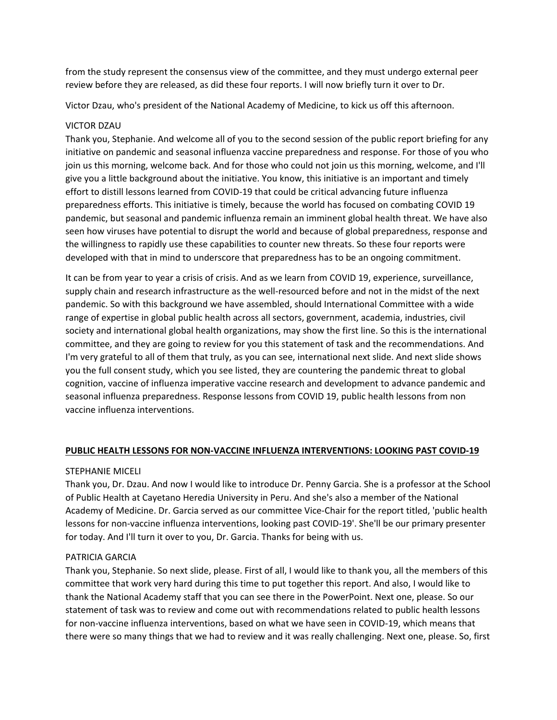from the study represent the consensus view of the committee, and they must undergo external peer review before they are released, as did these four reports. I will now briefly turn it over to Dr.

Victor Dzau, who's president of the National Academy of Medicine, to kick us off this afternoon.

#### VICTOR DZAU

Thank you, Stephanie. And welcome all of you to the second session of the public report briefing for any initiative on pandemic and seasonal influenza vaccine preparedness and response. For those of you who join us this morning, welcome back. And for those who could not join us this morning, welcome, and I'll give you a little background about the initiative. You know, this initiative is an important and timely effort to distill lessons learned from COVID‐19 that could be critical advancing future influenza preparedness efforts. This initiative is timely, because the world has focused on combating COVID 19 pandemic, but seasonal and pandemic influenza remain an imminent global health threat. We have also seen how viruses have potential to disrupt the world and because of global preparedness, response and the willingness to rapidly use these capabilities to counter new threats. So these four reports were developed with that in mind to underscore that preparedness has to be an ongoing commitment.

It can be from year to year a crisis of crisis. And as we learn from COVID 19, experience, surveillance, supply chain and research infrastructure as the well-resourced before and not in the midst of the next pandemic. So with this background we have assembled, should International Committee with a wide range of expertise in global public health across all sectors, government, academia, industries, civil society and international global health organizations, may show the first line. So this is the international committee, and they are going to review for you this statement of task and the recommendations. And I'm very grateful to all of them that truly, as you can see, international next slide. And next slide shows you the full consent study, which you see listed, they are countering the pandemic threat to global cognition, vaccine of influenza imperative vaccine research and development to advance pandemic and seasonal influenza preparedness. Response lessons from COVID 19, public health lessons from non vaccine influenza interventions.

#### **PUBLIC HEALTH LESSONS FOR NON‐VACCINE INFLUENZA INTERVENTIONS: LOOKING PAST COVID‐19**

#### STEPHANIE MICELI

Thank you, Dr. Dzau. And now I would like to introduce Dr. Penny Garcia. She is a professor at the School of Public Health at Cayetano Heredia University in Peru. And she's also a member of the National Academy of Medicine. Dr. Garcia served as our committee Vice‐Chair for the report titled, 'public health lessons for non‐vaccine influenza interventions, looking past COVID‐19'. She'll be our primary presenter for today. And I'll turn it over to you, Dr. Garcia. Thanks for being with us.

# PATRICIA GARCIA

Thank you, Stephanie. So next slide, please. First of all, I would like to thank you, all the members of this committee that work very hard during this time to put together this report. And also, I would like to thank the National Academy staff that you can see there in the PowerPoint. Next one, please. So our statement of task was to review and come out with recommendations related to public health lessons for non-vaccine influenza interventions, based on what we have seen in COVID-19, which means that there were so many things that we had to review and it was really challenging. Next one, please. So, first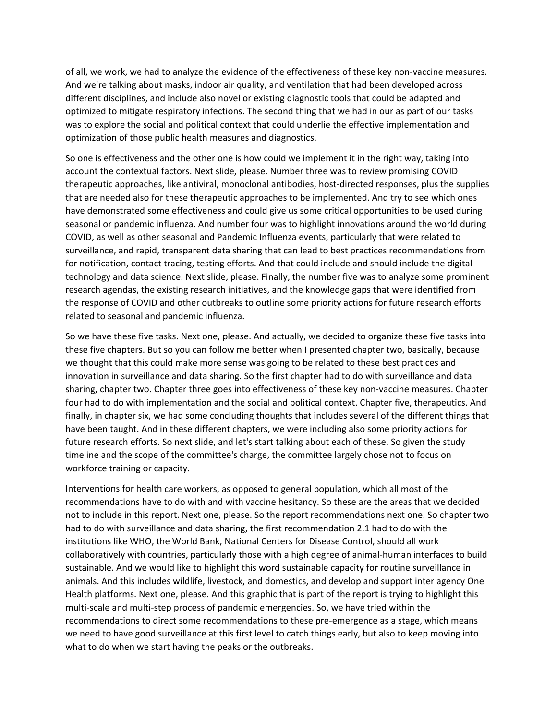of all, we work, we had to analyze the evidence of the effectiveness of these key non‐vaccine measures. And we're talking about masks, indoor air quality, and ventilation that had been developed across different disciplines, and include also novel or existing diagnostic tools that could be adapted and optimized to mitigate respiratory infections. The second thing that we had in our as part of our tasks was to explore the social and political context that could underlie the effective implementation and optimization of those public health measures and diagnostics.

So one is effectiveness and the other one is how could we implement it in the right way, taking into account the contextual factors. Next slide, please. Number three was to review promising COVID therapeutic approaches, like antiviral, monoclonal antibodies, host‐directed responses, plus the supplies that are needed also for these therapeutic approaches to be implemented. And try to see which ones have demonstrated some effectiveness and could give us some critical opportunities to be used during seasonal or pandemic influenza. And number four was to highlight innovations around the world during COVID, as well as other seasonal and Pandemic Influenza events, particularly that were related to surveillance, and rapid, transparent data sharing that can lead to best practices recommendations from for notification, contact tracing, testing efforts. And that could include and should include the digital technology and data science. Next slide, please. Finally, the number five was to analyze some prominent research agendas, the existing research initiatives, and the knowledge gaps that were identified from the response of COVID and other outbreaks to outline some priority actions for future research efforts related to seasonal and pandemic influenza.

So we have these five tasks. Next one, please. And actually, we decided to organize these five tasks into these five chapters. But so you can follow me better when I presented chapter two, basically, because we thought that this could make more sense was going to be related to these best practices and innovation in surveillance and data sharing. So the first chapter had to do with surveillance and data sharing, chapter two. Chapter three goes into effectiveness of these key non‐vaccine measures. Chapter four had to do with implementation and the social and political context. Chapter five, therapeutics. And finally, in chapter six, we had some concluding thoughts that includes several of the different things that have been taught. And in these different chapters, we were including also some priority actions for future research efforts. So next slide, and let's start talking about each of these. So given the study timeline and the scope of the committee's charge, the committee largely chose not to focus on workforce training or capacity.

Interventions for health care workers, as opposed to general population, which all most of the recommendations have to do with and with vaccine hesitancy. So these are the areas that we decided not to include in this report. Next one, please. So the report recommendations next one. So chapter two had to do with surveillance and data sharing, the first recommendation 2.1 had to do with the institutions like WHO, the World Bank, National Centers for Disease Control, should all work collaboratively with countries, particularly those with a high degree of animal‐human interfaces to build sustainable. And we would like to highlight this word sustainable capacity for routine surveillance in animals. And this includes wildlife, livestock, and domestics, and develop and support inter agency One Health platforms. Next one, please. And this graphic that is part of the report is trying to highlight this multi‐scale and multi‐step process of pandemic emergencies. So, we have tried within the recommendations to direct some recommendations to these pre‐emergence as a stage, which means we need to have good surveillance at this first level to catch things early, but also to keep moving into what to do when we start having the peaks or the outbreaks.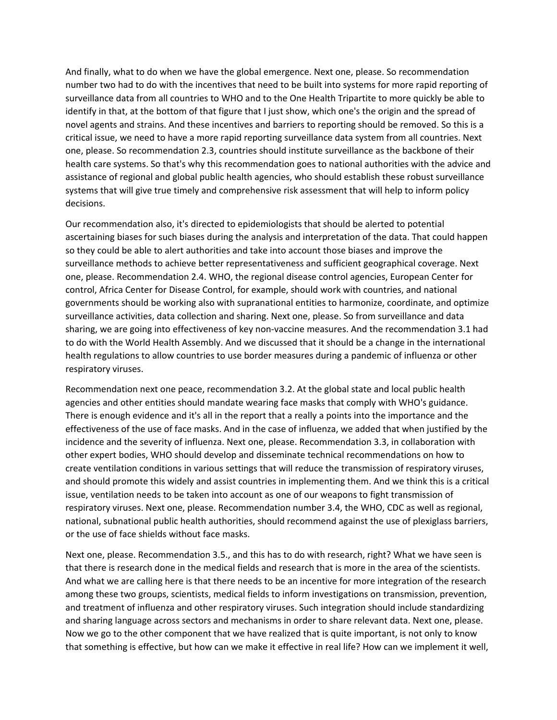And finally, what to do when we have the global emergence. Next one, please. So recommendation number two had to do with the incentives that need to be built into systems for more rapid reporting of surveillance data from all countries to WHO and to the One Health Tripartite to more quickly be able to identify in that, at the bottom of that figure that I just show, which one's the origin and the spread of novel agents and strains. And these incentives and barriers to reporting should be removed. So this is a critical issue, we need to have a more rapid reporting surveillance data system from all countries. Next one, please. So recommendation 2.3, countries should institute surveillance as the backbone of their health care systems. So that's why this recommendation goes to national authorities with the advice and assistance of regional and global public health agencies, who should establish these robust surveillance systems that will give true timely and comprehensive risk assessment that will help to inform policy decisions.

Our recommendation also, it's directed to epidemiologists that should be alerted to potential ascertaining biases for such biases during the analysis and interpretation of the data. That could happen so they could be able to alert authorities and take into account those biases and improve the surveillance methods to achieve better representativeness and sufficient geographical coverage. Next one, please. Recommendation 2.4. WHO, the regional disease control agencies, European Center for control, Africa Center for Disease Control, for example, should work with countries, and national governments should be working also with supranational entities to harmonize, coordinate, and optimize surveillance activities, data collection and sharing. Next one, please. So from surveillance and data sharing, we are going into effectiveness of key non-vaccine measures. And the recommendation 3.1 had to do with the World Health Assembly. And we discussed that it should be a change in the international health regulations to allow countries to use border measures during a pandemic of influenza or other respiratory viruses.

Recommendation next one peace, recommendation 3.2. At the global state and local public health agencies and other entities should mandate wearing face masks that comply with WHO's guidance. There is enough evidence and it's all in the report that a really a points into the importance and the effectiveness of the use of face masks. And in the case of influenza, we added that when justified by the incidence and the severity of influenza. Next one, please. Recommendation 3.3, in collaboration with other expert bodies, WHO should develop and disseminate technical recommendations on how to create ventilation conditions in various settings that will reduce the transmission of respiratory viruses, and should promote this widely and assist countries in implementing them. And we think this is a critical issue, ventilation needs to be taken into account as one of our weapons to fight transmission of respiratory viruses. Next one, please. Recommendation number 3.4, the WHO, CDC as well as regional, national, subnational public health authorities, should recommend against the use of plexiglass barriers, or the use of face shields without face masks.

Next one, please. Recommendation 3.5., and this has to do with research, right? What we have seen is that there is research done in the medical fields and research that is more in the area of the scientists. And what we are calling here is that there needs to be an incentive for more integration of the research among these two groups, scientists, medical fields to inform investigations on transmission, prevention, and treatment of influenza and other respiratory viruses. Such integration should include standardizing and sharing language across sectors and mechanisms in order to share relevant data. Next one, please. Now we go to the other component that we have realized that is quite important, is not only to know that something is effective, but how can we make it effective in real life? How can we implement it well,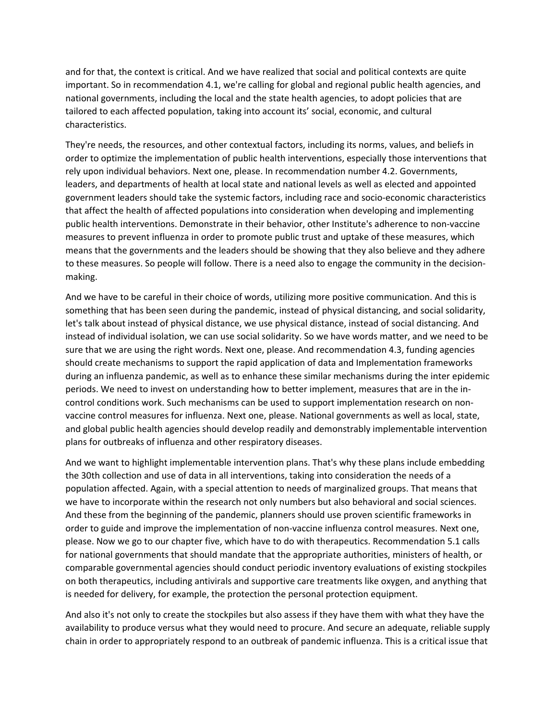and for that, the context is critical. And we have realized that social and political contexts are quite important. So in recommendation 4.1, we're calling for global and regional public health agencies, and national governments, including the local and the state health agencies, to adopt policies that are tailored to each affected population, taking into account its' social, economic, and cultural characteristics.

They're needs, the resources, and other contextual factors, including its norms, values, and beliefs in order to optimize the implementation of public health interventions, especially those interventions that rely upon individual behaviors. Next one, please. In recommendation number 4.2. Governments, leaders, and departments of health at local state and national levels as well as elected and appointed government leaders should take the systemic factors, including race and socio‐economic characteristics that affect the health of affected populations into consideration when developing and implementing public health interventions. Demonstrate in their behavior, other Institute's adherence to non‐vaccine measures to prevent influenza in order to promote public trust and uptake of these measures, which means that the governments and the leaders should be showing that they also believe and they adhere to these measures. So people will follow. There is a need also to engage the community in the decision‐ making.

And we have to be careful in their choice of words, utilizing more positive communication. And this is something that has been seen during the pandemic, instead of physical distancing, and social solidarity, let's talk about instead of physical distance, we use physical distance, instead of social distancing. And instead of individual isolation, we can use social solidarity. So we have words matter, and we need to be sure that we are using the right words. Next one, please. And recommendation 4.3, funding agencies should create mechanisms to support the rapid application of data and Implementation frameworks during an influenza pandemic, as well as to enhance these similar mechanisms during the inter epidemic periods. We need to invest on understanding how to better implement, measures that are in the in‐ control conditions work. Such mechanisms can be used to support implementation research on non‐ vaccine control measures for influenza. Next one, please. National governments as well as local, state, and global public health agencies should develop readily and demonstrably implementable intervention plans for outbreaks of influenza and other respiratory diseases.

And we want to highlight implementable intervention plans. That's why these plans include embedding the 30th collection and use of data in all interventions, taking into consideration the needs of a population affected. Again, with a special attention to needs of marginalized groups. That means that we have to incorporate within the research not only numbers but also behavioral and social sciences. And these from the beginning of the pandemic, planners should use proven scientific frameworks in order to guide and improve the implementation of non‐vaccine influenza control measures. Next one, please. Now we go to our chapter five, which have to do with therapeutics. Recommendation 5.1 calls for national governments that should mandate that the appropriate authorities, ministers of health, or comparable governmental agencies should conduct periodic inventory evaluations of existing stockpiles on both therapeutics, including antivirals and supportive care treatments like oxygen, and anything that is needed for delivery, for example, the protection the personal protection equipment.

And also it's not only to create the stockpiles but also assess if they have them with what they have the availability to produce versus what they would need to procure. And secure an adequate, reliable supply chain in order to appropriately respond to an outbreak of pandemic influenza. This is a critical issue that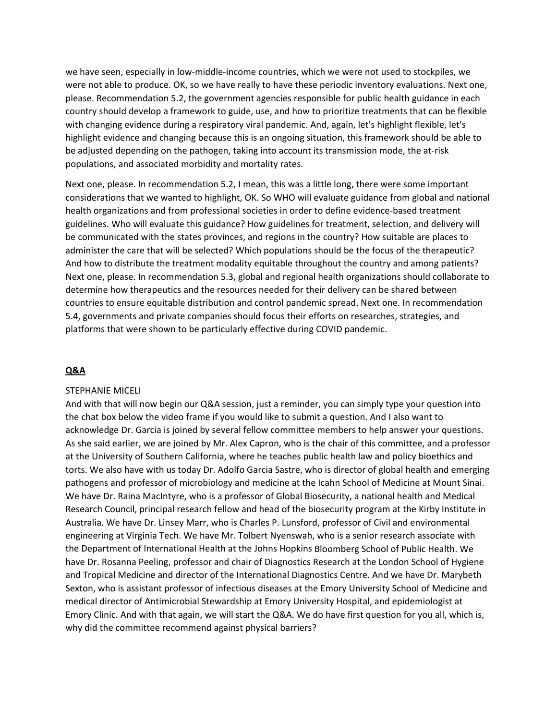we have seen, especially in low‐middle‐income countries, which we were not used to stockpiles, we were not able to produce. OK, so we have really to have these periodic inventory evaluations. Next one, please. Recommendation 5.2, the government agencies responsible for public health guidance in each country should develop a framework to guide, use, and how to prioritize treatments that can be flexible with changing evidence during a respiratory viral pandemic. And, again, let's highlight flexible, let's highlight evidence and changing because this is an ongoing situation, this framework should be able to be adjusted depending on the pathogen, taking into account its transmission mode, the at-risk populations, and associated morbidity and mortality rates.

Next one, please. In recommendation 5.2, I mean, this was a little long, there were some important considerations that we wanted to highlight, OK. So WHO will evaluate guidance from global and national health organizations and from professional societies in order to define evidence‐based treatment guidelines. Who will evaluate this guidance? How guidelines for treatment, selection, and delivery will be communicated with the states provinces, and regions in the country? How suitable are places to administer the care that will be selected? Which populations should be the focus of the therapeutic? And how to distribute the treatment modality equitable throughout the country and among patients? Next one, please. In recommendation 5.3, global and regional health organizations should collaborate to determine how therapeutics and the resources needed for their delivery can be shared between countries to ensure equitable distribution and control pandemic spread. Next one. In recommendation 5.4, governments and private companies should focus their efforts on researches, strategies, and platforms that were shown to be particularly effective during COVID pandemic.

### **Q&A**

#### STEPHANIE MICELI

And with that will now begin our Q&A session, just a reminder, you can simply type your question into the chat box below the video frame if you would like to submit a question. And I also want to acknowledge Dr. Garcia is joined by several fellow committee members to help answer your questions. As she said earlier, we are joined by Mr. Alex Capron, who is the chair of this committee, and a professor at the University of Southern California, where he teaches public health law and policy bioethics and torts. We also have with us today Dr. Adolfo Garcia Sastre, who is director of global health and emerging pathogens and professor of microbiology and medicine at the Icahn School of Medicine at Mount Sinai. We have Dr. Raina MacIntyre, who is a professor of Global Biosecurity, a national health and Medical Research Council, principal research fellow and head of the biosecurity program at the Kirby Institute in Australia. We have Dr. Linsey Marr, who is Charles P. Lunsford, professor of Civil and environmental engineering at Virginia Tech. We have Mr. Tolbert Nyenswah, who is a senior research associate with the Department of International Health at the Johns Hopkins Bloomberg School of Public Health. We have Dr. Rosanna Peeling, professor and chair of Diagnostics Research at the London School of Hygiene and Tropical Medicine and director of the International Diagnostics Centre. And we have Dr. Marybeth Sexton, who is assistant professor of infectious diseases at the Emory University School of Medicine and medical director of Antimicrobial Stewardship at Emory University Hospital, and epidemiologist at Emory Clinic. And with that again, we will start the Q&A. We do have first question for you all, which is, why did the committee recommend against physical barriers?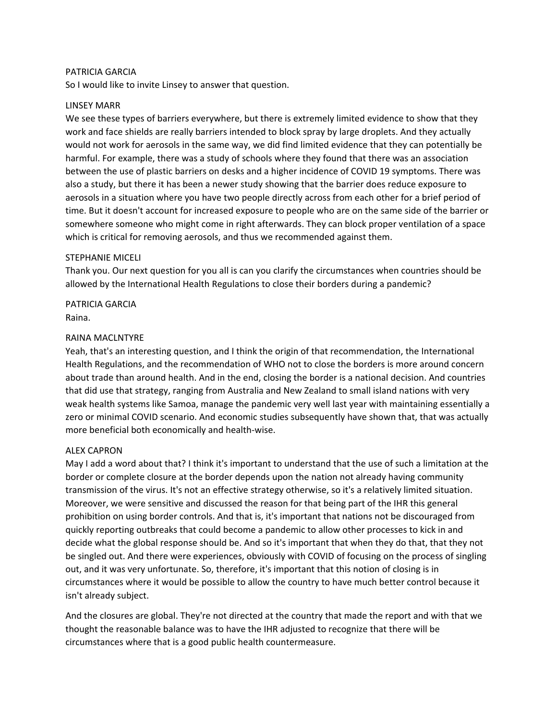### PATRICIA GARCIA

So I would like to invite Linsey to answer that question.

# LINSEY MARR

We see these types of barriers everywhere, but there is extremely limited evidence to show that they work and face shields are really barriers intended to block spray by large droplets. And they actually would not work for aerosols in the same way, we did find limited evidence that they can potentially be harmful. For example, there was a study of schools where they found that there was an association between the use of plastic barriers on desks and a higher incidence of COVID 19 symptoms. There was also a study, but there it has been a newer study showing that the barrier does reduce exposure to aerosols in a situation where you have two people directly across from each other for a brief period of time. But it doesn't account for increased exposure to people who are on the same side of the barrier or somewhere someone who might come in right afterwards. They can block proper ventilation of a space which is critical for removing aerosols, and thus we recommended against them.

#### STEPHANIE MICELI

Thank you. Our next question for you all is can you clarify the circumstances when countries should be allowed by the International Health Regulations to close their borders during a pandemic?

PATRICIA GARCIA Raina.

# RAINA MACLNTYRE

Yeah, that's an interesting question, and I think the origin of that recommendation, the International Health Regulations, and the recommendation of WHO not to close the borders is more around concern about trade than around health. And in the end, closing the border is a national decision. And countries that did use that strategy, ranging from Australia and New Zealand to small island nations with very weak health systems like Samoa, manage the pandemic very well last year with maintaining essentially a zero or minimal COVID scenario. And economic studies subsequently have shown that, that was actually more beneficial both economically and health‐wise.

#### ALEX CAPRON

May I add a word about that? I think it's important to understand that the use of such a limitation at the border or complete closure at the border depends upon the nation not already having community transmission of the virus. It's not an effective strategy otherwise, so it's a relatively limited situation. Moreover, we were sensitive and discussed the reason for that being part of the IHR this general prohibition on using border controls. And that is, it's important that nations not be discouraged from quickly reporting outbreaks that could become a pandemic to allow other processes to kick in and decide what the global response should be. And so it's important that when they do that, that they not be singled out. And there were experiences, obviously with COVID of focusing on the process of singling out, and it was very unfortunate. So, therefore, it's important that this notion of closing is in circumstances where it would be possible to allow the country to have much better control because it isn't already subject.

And the closures are global. They're not directed at the country that made the report and with that we thought the reasonable balance was to have the IHR adjusted to recognize that there will be circumstances where that is a good public health countermeasure.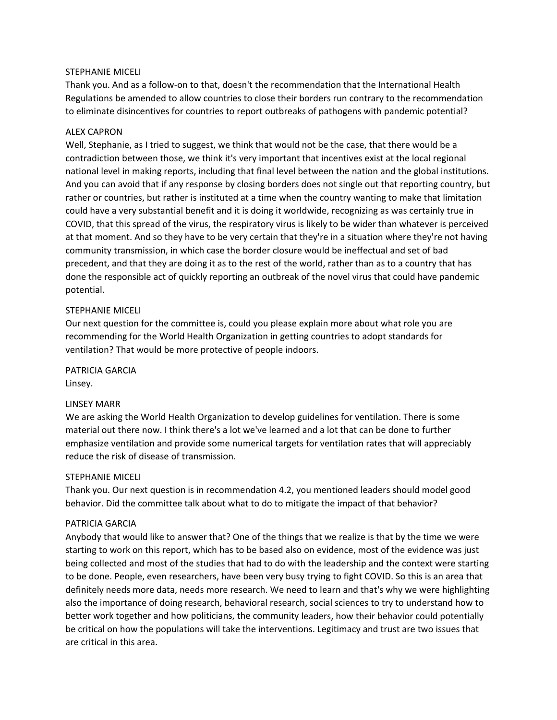# STEPHANIE MICELI

Thank you. And as a follow‐on to that, doesn't the recommendation that the International Health Regulations be amended to allow countries to close their borders run contrary to the recommendation to eliminate disincentives for countries to report outbreaks of pathogens with pandemic potential?

# ALEX CAPRON

Well, Stephanie, as I tried to suggest, we think that would not be the case, that there would be a contradiction between those, we think it's very important that incentives exist at the local regional national level in making reports, including that final level between the nation and the global institutions. And you can avoid that if any response by closing borders does not single out that reporting country, but rather or countries, but rather is instituted at a time when the country wanting to make that limitation could have a very substantial benefit and it is doing it worldwide, recognizing as was certainly true in COVID, that this spread of the virus, the respiratory virus is likely to be wider than whatever is perceived at that moment. And so they have to be very certain that they're in a situation where they're not having community transmission, in which case the border closure would be ineffectual and set of bad precedent, and that they are doing it as to the rest of the world, rather than as to a country that has done the responsible act of quickly reporting an outbreak of the novel virus that could have pandemic potential.

# STEPHANIE MICELI

Our next question for the committee is, could you please explain more about what role you are recommending for the World Health Organization in getting countries to adopt standards for ventilation? That would be more protective of people indoors.

PATRICIA GARCIA Linsey.

# LINSEY MARR

We are asking the World Health Organization to develop guidelines for ventilation. There is some material out there now. I think there's a lot we've learned and a lot that can be done to further emphasize ventilation and provide some numerical targets for ventilation rates that will appreciably reduce the risk of disease of transmission.

#### STEPHANIE MICELI

Thank you. Our next question is in recommendation 4.2, you mentioned leaders should model good behavior. Did the committee talk about what to do to mitigate the impact of that behavior?

#### PATRICIA GARCIA

Anybody that would like to answer that? One of the things that we realize is that by the time we were starting to work on this report, which has to be based also on evidence, most of the evidence was just being collected and most of the studies that had to do with the leadership and the context were starting to be done. People, even researchers, have been very busy trying to fight COVID. So this is an area that definitely needs more data, needs more research. We need to learn and that's why we were highlighting also the importance of doing research, behavioral research, social sciences to try to understand how to better work together and how politicians, the community leaders, how their behavior could potentially be critical on how the populations will take the interventions. Legitimacy and trust are two issues that are critical in this area.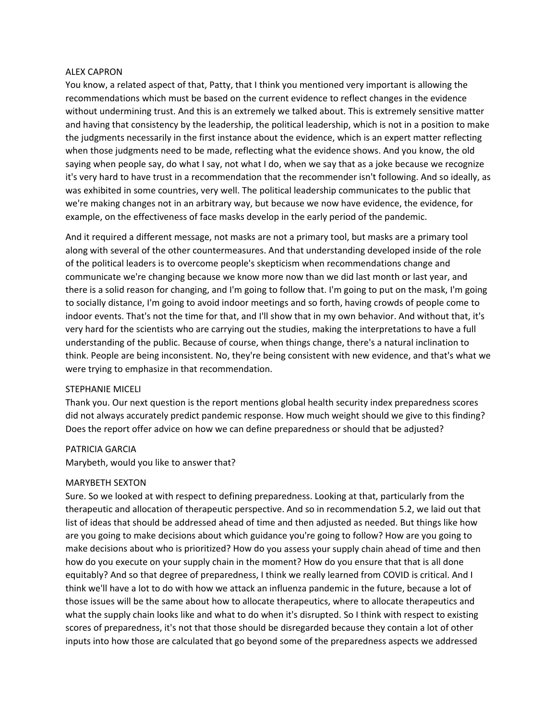#### ALEX CAPRON

You know, a related aspect of that, Patty, that I think you mentioned very important is allowing the recommendations which must be based on the current evidence to reflect changes in the evidence without undermining trust. And this is an extremely we talked about. This is extremely sensitive matter and having that consistency by the leadership, the political leadership, which is not in a position to make the judgments necessarily in the first instance about the evidence, which is an expert matter reflecting when those judgments need to be made, reflecting what the evidence shows. And you know, the old saying when people say, do what I say, not what I do, when we say that as a joke because we recognize it's very hard to have trust in a recommendation that the recommender isn't following. And so ideally, as was exhibited in some countries, very well. The political leadership communicates to the public that we're making changes not in an arbitrary way, but because we now have evidence, the evidence, for example, on the effectiveness of face masks develop in the early period of the pandemic.

And it required a different message, not masks are not a primary tool, but masks are a primary tool along with several of the other countermeasures. And that understanding developed inside of the role of the political leaders is to overcome people's skepticism when recommendations change and communicate we're changing because we know more now than we did last month or last year, and there is a solid reason for changing, and I'm going to follow that. I'm going to put on the mask, I'm going to socially distance, I'm going to avoid indoor meetings and so forth, having crowds of people come to indoor events. That's not the time for that, and I'll show that in my own behavior. And without that, it's very hard for the scientists who are carrying out the studies, making the interpretations to have a full understanding of the public. Because of course, when things change, there's a natural inclination to think. People are being inconsistent. No, they're being consistent with new evidence, and that's what we were trying to emphasize in that recommendation.

#### STEPHANIE MICELI

Thank you. Our next question is the report mentions global health security index preparedness scores did not always accurately predict pandemic response. How much weight should we give to this finding? Does the report offer advice on how we can define preparedness or should that be adjusted?

#### PATRICIA GARCIA

Marybeth, would you like to answer that?

#### MARYBETH SEXTON

Sure. So we looked at with respect to defining preparedness. Looking at that, particularly from the therapeutic and allocation of therapeutic perspective. And so in recommendation 5.2, we laid out that list of ideas that should be addressed ahead of time and then adjusted as needed. But things like how are you going to make decisions about which guidance you're going to follow? How are you going to make decisions about who is prioritized? How do you assess your supply chain ahead of time and then how do you execute on your supply chain in the moment? How do you ensure that that is all done equitably? And so that degree of preparedness, I think we really learned from COVID is critical. And I think we'll have a lot to do with how we attack an influenza pandemic in the future, because a lot of those issues will be the same about how to allocate therapeutics, where to allocate therapeutics and what the supply chain looks like and what to do when it's disrupted. So I think with respect to existing scores of preparedness, it's not that those should be disregarded because they contain a lot of other inputs into how those are calculated that go beyond some of the preparedness aspects we addressed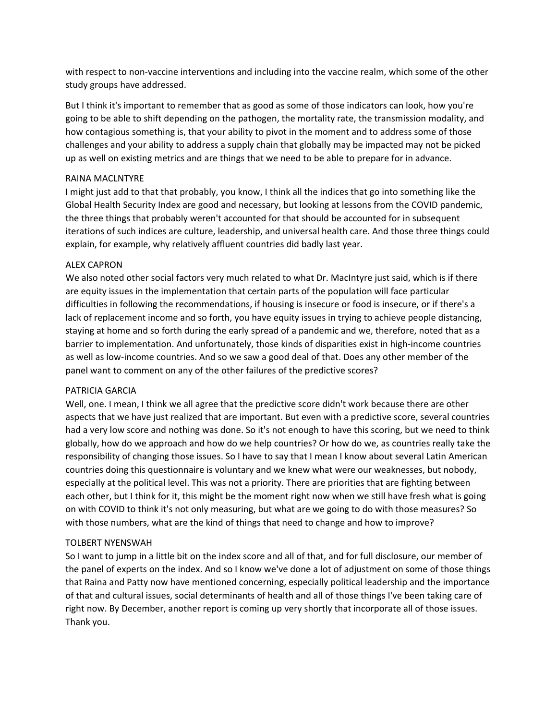with respect to non-vaccine interventions and including into the vaccine realm, which some of the other study groups have addressed.

But I think it's important to remember that as good as some of those indicators can look, how you're going to be able to shift depending on the pathogen, the mortality rate, the transmission modality, and how contagious something is, that your ability to pivot in the moment and to address some of those challenges and your ability to address a supply chain that globally may be impacted may not be picked up as well on existing metrics and are things that we need to be able to prepare for in advance.

# RAINA MACLNTYRE

I might just add to that that probably, you know, I think all the indices that go into something like the Global Health Security Index are good and necessary, but looking at lessons from the COVID pandemic, the three things that probably weren't accounted for that should be accounted for in subsequent iterations of such indices are culture, leadership, and universal health care. And those three things could explain, for example, why relatively affluent countries did badly last year.

# ALEX CAPRON

We also noted other social factors very much related to what Dr. MacIntyre just said, which is if there are equity issues in the implementation that certain parts of the population will face particular difficulties in following the recommendations, if housing is insecure or food is insecure, or if there's a lack of replacement income and so forth, you have equity issues in trying to achieve people distancing, staying at home and so forth during the early spread of a pandemic and we, therefore, noted that as a barrier to implementation. And unfortunately, those kinds of disparities exist in high-income countries as well as low‐income countries. And so we saw a good deal of that. Does any other member of the panel want to comment on any of the other failures of the predictive scores?

# PATRICIA GARCIA

Well, one. I mean, I think we all agree that the predictive score didn't work because there are other aspects that we have just realized that are important. But even with a predictive score, several countries had a very low score and nothing was done. So it's not enough to have this scoring, but we need to think globally, how do we approach and how do we help countries? Or how do we, as countries really take the responsibility of changing those issues. So I have to say that I mean I know about several Latin American countries doing this questionnaire is voluntary and we knew what were our weaknesses, but nobody, especially at the political level. This was not a priority. There are priorities that are fighting between each other, but I think for it, this might be the moment right now when we still have fresh what is going on with COVID to think it's not only measuring, but what are we going to do with those measures? So with those numbers, what are the kind of things that need to change and how to improve?

# TOLBERT NYENSWAH

So I want to jump in a little bit on the index score and all of that, and for full disclosure, our member of the panel of experts on the index. And so I know we've done a lot of adjustment on some of those things that Raina and Patty now have mentioned concerning, especially political leadership and the importance of that and cultural issues, social determinants of health and all of those things I've been taking care of right now. By December, another report is coming up very shortly that incorporate all of those issues. Thank you.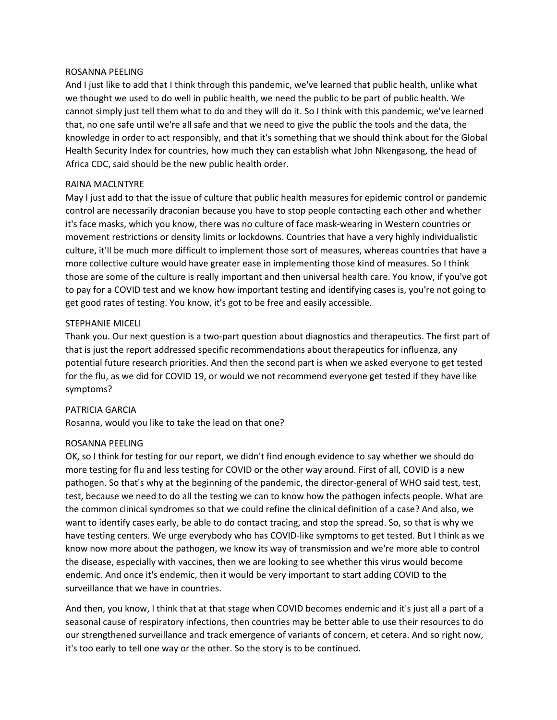#### ROSANNA PEELING

And I just like to add that I think through this pandemic, we've learned that public health, unlike what we thought we used to do well in public health, we need the public to be part of public health. We cannot simply just tell them what to do and they will do it. So I think with this pandemic, we've learned that, no one safe until we're all safe and that we need to give the public the tools and the data, the knowledge in order to act responsibly, and that it's something that we should think about for the Global Health Security Index for countries, how much they can establish what John Nkengasong, the head of Africa CDC, said should be the new public health order.

#### RAINA MACLNTYRE

May I just add to that the issue of culture that public health measures for epidemic control or pandemic control are necessarily draconian because you have to stop people contacting each other and whether it's face masks, which you know, there was no culture of face mask‐wearing in Western countries or movement restrictions or density limits or lockdowns. Countries that have a very highly individualistic culture, it'll be much more difficult to implement those sort of measures, whereas countries that have a more collective culture would have greater ease in implementing those kind of measures. So I think those are some of the culture is really important and then universal health care. You know, if you've got to pay for a COVID test and we know how important testing and identifying cases is, you're not going to get good rates of testing. You know, it's got to be free and easily accessible.

# STEPHANIE MICELI

Thank you. Our next question is a two‐part question about diagnostics and therapeutics. The first part of that is just the report addressed specific recommendations about therapeutics for influenza, any potential future research priorities. And then the second part is when we asked everyone to get tested for the flu, as we did for COVID 19, or would we not recommend everyone get tested if they have like symptoms?

# PATRICIA GARCIA

Rosanna, would you like to take the lead on that one?

#### ROSANNA PEELING

OK, so I think for testing for our report, we didn't find enough evidence to say whether we should do more testing for flu and less testing for COVID or the other way around. First of all, COVID is a new pathogen. So that's why at the beginning of the pandemic, the director‐general of WHO said test, test, test, because we need to do all the testing we can to know how the pathogen infects people. What are the common clinical syndromes so that we could refine the clinical definition of a case? And also, we want to identify cases early, be able to do contact tracing, and stop the spread. So, so that is why we have testing centers. We urge everybody who has COVID-like symptoms to get tested. But I think as we know now more about the pathogen, we know its way of transmission and we're more able to control the disease, especially with vaccines, then we are looking to see whether this virus would become endemic. And once it's endemic, then it would be very important to start adding COVID to the surveillance that we have in countries.

And then, you know, I think that at that stage when COVID becomes endemic and it's just all a part of a seasonal cause of respiratory infections, then countries may be better able to use their resources to do our strengthened surveillance and track emergence of variants of concern, et cetera. And so right now, it's too early to tell one way or the other. So the story is to be continued.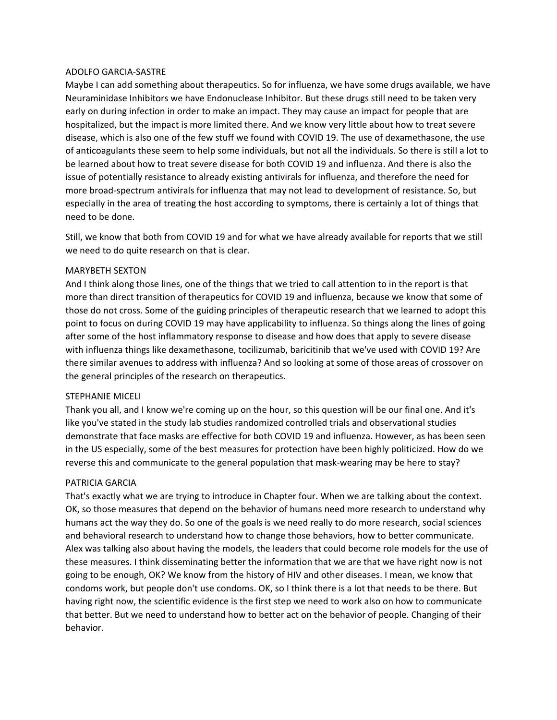# ADOLFO GARCIA‐SASTRE

Maybe I can add something about therapeutics. So for influenza, we have some drugs available, we have Neuraminidase Inhibitors we have Endonuclease Inhibitor. But these drugs still need to be taken very early on during infection in order to make an impact. They may cause an impact for people that are hospitalized, but the impact is more limited there. And we know very little about how to treat severe disease, which is also one of the few stuff we found with COVID 19. The use of dexamethasone, the use of anticoagulants these seem to help some individuals, but not all the individuals. So there is still a lot to be learned about how to treat severe disease for both COVID 19 and influenza. And there is also the issue of potentially resistance to already existing antivirals for influenza, and therefore the need for more broad‐spectrum antivirals for influenza that may not lead to development of resistance. So, but especially in the area of treating the host according to symptoms, there is certainly a lot of things that need to be done.

Still, we know that both from COVID 19 and for what we have already available for reports that we still we need to do quite research on that is clear.

# MARYBETH SEXTON

And I think along those lines, one of the things that we tried to call attention to in the report is that more than direct transition of therapeutics for COVID 19 and influenza, because we know that some of those do not cross. Some of the guiding principles of therapeutic research that we learned to adopt this point to focus on during COVID 19 may have applicability to influenza. So things along the lines of going after some of the host inflammatory response to disease and how does that apply to severe disease with influenza things like dexamethasone, tocilizumab, baricitinib that we've used with COVID 19? Are there similar avenues to address with influenza? And so looking at some of those areas of crossover on the general principles of the research on therapeutics.

#### STEPHANIE MICELI

Thank you all, and I know we're coming up on the hour, so this question will be our final one. And it's like you've stated in the study lab studies randomized controlled trials and observational studies demonstrate that face masks are effective for both COVID 19 and influenza. However, as has been seen in the US especially, some of the best measures for protection have been highly politicized. How do we reverse this and communicate to the general population that mask-wearing may be here to stay?

# PATRICIA GARCIA

That's exactly what we are trying to introduce in Chapter four. When we are talking about the context. OK, so those measures that depend on the behavior of humans need more research to understand why humans act the way they do. So one of the goals is we need really to do more research, social sciences and behavioral research to understand how to change those behaviors, how to better communicate. Alex was talking also about having the models, the leaders that could become role models for the use of these measures. I think disseminating better the information that we are that we have right now is not going to be enough, OK? We know from the history of HIV and other diseases. I mean, we know that condoms work, but people don't use condoms. OK, so I think there is a lot that needs to be there. But having right now, the scientific evidence is the first step we need to work also on how to communicate that better. But we need to understand how to better act on the behavior of people. Changing of their behavior.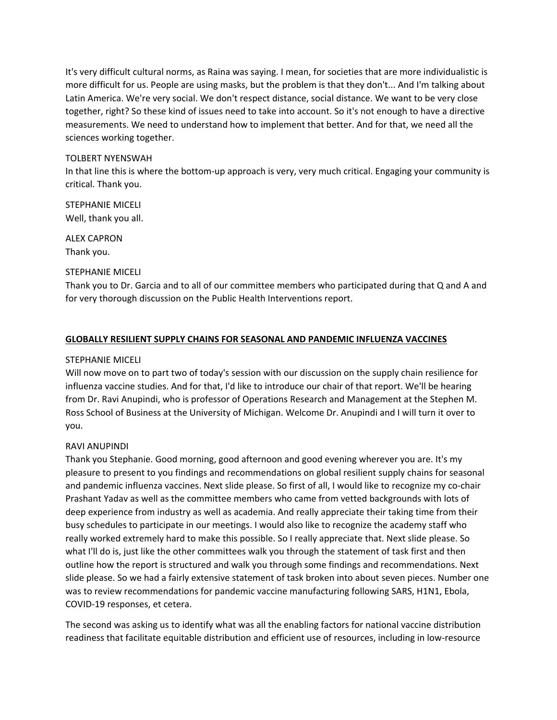It's very difficult cultural norms, as Raina was saying. I mean, for societies that are more individualistic is more difficult for us. People are using masks, but the problem is that they don't... And I'm talking about Latin America. We're very social. We don't respect distance, social distance. We want to be very close together, right? So these kind of issues need to take into account. So it's not enough to have a directive measurements. We need to understand how to implement that better. And for that, we need all the sciences working together.

# TOLBERT NYENSWAH

In that line this is where the bottom-up approach is very, very much critical. Engaging your community is critical. Thank you.

STEPHANIE MICELI Well, thank you all.

ALEX CAPRON Thank you.

# STEPHANIE MICELI

Thank you to Dr. Garcia and to all of our committee members who participated during that Q and A and for very thorough discussion on the Public Health Interventions report.

# **GLOBALLY RESILIENT SUPPLY CHAINS FOR SEASONAL AND PANDEMIC INFLUENZA VACCINES**

# STEPHANIE MICELI

Will now move on to part two of today's session with our discussion on the supply chain resilience for influenza vaccine studies. And for that, I'd like to introduce our chair of that report. We'll be hearing from Dr. Ravi Anupindi, who is professor of Operations Research and Management at the Stephen M. Ross School of Business at the University of Michigan. Welcome Dr. Anupindi and I will turn it over to you.

# RAVI ANUPINDI

Thank you Stephanie. Good morning, good afternoon and good evening wherever you are. It's my pleasure to present to you findings and recommendations on global resilient supply chains for seasonal and pandemic influenza vaccines. Next slide please. So first of all, I would like to recognize my co-chair Prashant Yadav as well as the committee members who came from vetted backgrounds with lots of deep experience from industry as well as academia. And really appreciate their taking time from their busy schedules to participate in our meetings. I would also like to recognize the academy staff who really worked extremely hard to make this possible. So I really appreciate that. Next slide please. So what I'll do is, just like the other committees walk you through the statement of task first and then outline how the report is structured and walk you through some findings and recommendations. Next slide please. So we had a fairly extensive statement of task broken into about seven pieces. Number one was to review recommendations for pandemic vaccine manufacturing following SARS, H1N1, Ebola, COVID‐19 responses, et cetera.

The second was asking us to identify what was all the enabling factors for national vaccine distribution readiness that facilitate equitable distribution and efficient use of resources, including in low‐resource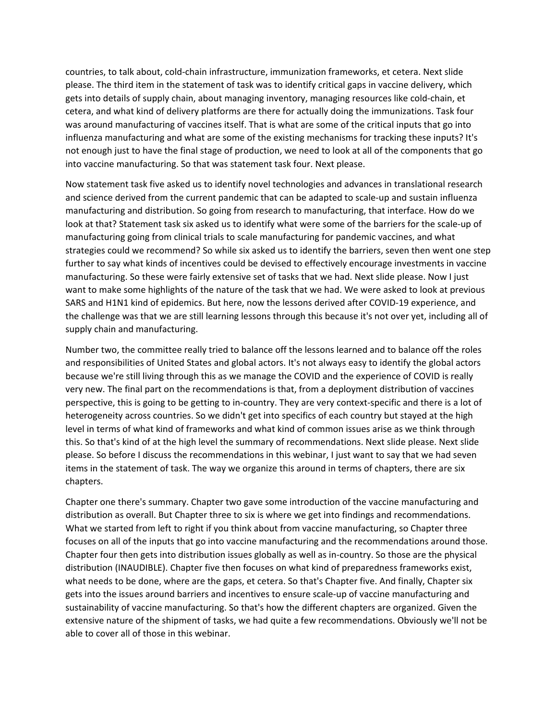countries, to talk about, cold‐chain infrastructure, immunization frameworks, et cetera. Next slide please. The third item in the statement of task was to identify critical gaps in vaccine delivery, which gets into details of supply chain, about managing inventory, managing resources like cold‐chain, et cetera, and what kind of delivery platforms are there for actually doing the immunizations. Task four was around manufacturing of vaccines itself. That is what are some of the critical inputs that go into influenza manufacturing and what are some of the existing mechanisms for tracking these inputs? It's not enough just to have the final stage of production, we need to look at all of the components that go into vaccine manufacturing. So that was statement task four. Next please.

Now statement task five asked us to identify novel technologies and advances in translational research and science derived from the current pandemic that can be adapted to scale-up and sustain influenza manufacturing and distribution. So going from research to manufacturing, that interface. How do we look at that? Statement task six asked us to identify what were some of the barriers for the scale‐up of manufacturing going from clinical trials to scale manufacturing for pandemic vaccines, and what strategies could we recommend? So while six asked us to identify the barriers, seven then went one step further to say what kinds of incentives could be devised to effectively encourage investments in vaccine manufacturing. So these were fairly extensive set of tasks that we had. Next slide please. Now I just want to make some highlights of the nature of the task that we had. We were asked to look at previous SARS and H1N1 kind of epidemics. But here, now the lessons derived after COVID‐19 experience, and the challenge was that we are still learning lessons through this because it's not over yet, including all of supply chain and manufacturing.

Number two, the committee really tried to balance off the lessons learned and to balance off the roles and responsibilities of United States and global actors. It's not always easy to identify the global actors because we're still living through this as we manage the COVID and the experience of COVID is really very new. The final part on the recommendations is that, from a deployment distribution of vaccines perspective, this is going to be getting to in‐country. They are very context‐specific and there is a lot of heterogeneity across countries. So we didn't get into specifics of each country but stayed at the high level in terms of what kind of frameworks and what kind of common issues arise as we think through this. So that's kind of at the high level the summary of recommendations. Next slide please. Next slide please. So before I discuss the recommendations in this webinar, I just want to say that we had seven items in the statement of task. The way we organize this around in terms of chapters, there are six chapters.

Chapter one there's summary. Chapter two gave some introduction of the vaccine manufacturing and distribution as overall. But Chapter three to six is where we get into findings and recommendations. What we started from left to right if you think about from vaccine manufacturing, so Chapter three focuses on all of the inputs that go into vaccine manufacturing and the recommendations around those. Chapter four then gets into distribution issues globally as well as in‐country. So those are the physical distribution (INAUDIBLE). Chapter five then focuses on what kind of preparedness frameworks exist, what needs to be done, where are the gaps, et cetera. So that's Chapter five. And finally, Chapter six gets into the issues around barriers and incentives to ensure scale‐up of vaccine manufacturing and sustainability of vaccine manufacturing. So that's how the different chapters are organized. Given the extensive nature of the shipment of tasks, we had quite a few recommendations. Obviously we'll not be able to cover all of those in this webinar.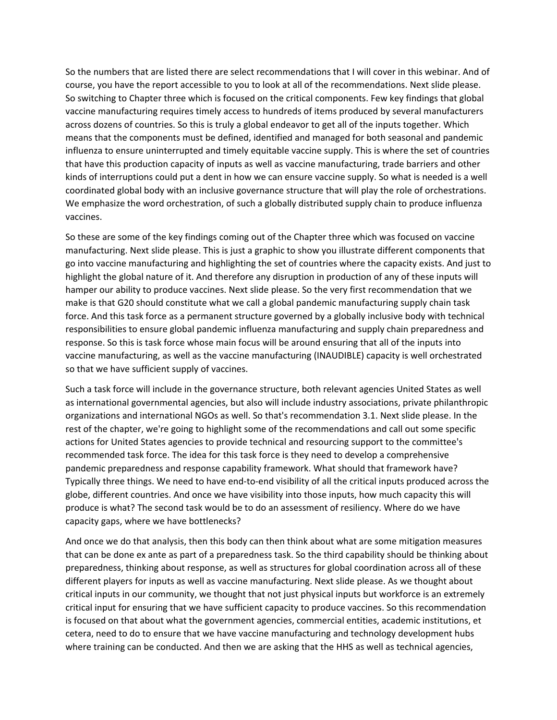So the numbers that are listed there are select recommendations that I will cover in this webinar. And of course, you have the report accessible to you to look at all of the recommendations. Next slide please. So switching to Chapter three which is focused on the critical components. Few key findings that global vaccine manufacturing requires timely access to hundreds of items produced by several manufacturers across dozens of countries. So this is truly a global endeavor to get all of the inputs together. Which means that the components must be defined, identified and managed for both seasonal and pandemic influenza to ensure uninterrupted and timely equitable vaccine supply. This is where the set of countries that have this production capacity of inputs as well as vaccine manufacturing, trade barriers and other kinds of interruptions could put a dent in how we can ensure vaccine supply. So what is needed is a well coordinated global body with an inclusive governance structure that will play the role of orchestrations. We emphasize the word orchestration, of such a globally distributed supply chain to produce influenza vaccines.

So these are some of the key findings coming out of the Chapter three which was focused on vaccine manufacturing. Next slide please. This is just a graphic to show you illustrate different components that go into vaccine manufacturing and highlighting the set of countries where the capacity exists. And just to highlight the global nature of it. And therefore any disruption in production of any of these inputs will hamper our ability to produce vaccines. Next slide please. So the very first recommendation that we make is that G20 should constitute what we call a global pandemic manufacturing supply chain task force. And this task force as a permanent structure governed by a globally inclusive body with technical responsibilities to ensure global pandemic influenza manufacturing and supply chain preparedness and response. So this is task force whose main focus will be around ensuring that all of the inputs into vaccine manufacturing, as well as the vaccine manufacturing (INAUDIBLE) capacity is well orchestrated so that we have sufficient supply of vaccines.

Such a task force will include in the governance structure, both relevant agencies United States as well as international governmental agencies, but also will include industry associations, private philanthropic organizations and international NGOs as well. So that's recommendation 3.1. Next slide please. In the rest of the chapter, we're going to highlight some of the recommendations and call out some specific actions for United States agencies to provide technical and resourcing support to the committee's recommended task force. The idea for this task force is they need to develop a comprehensive pandemic preparedness and response capability framework. What should that framework have? Typically three things. We need to have end‐to‐end visibility of all the critical inputs produced across the globe, different countries. And once we have visibility into those inputs, how much capacity this will produce is what? The second task would be to do an assessment of resiliency. Where do we have capacity gaps, where we have bottlenecks?

And once we do that analysis, then this body can then think about what are some mitigation measures that can be done ex ante as part of a preparedness task. So the third capability should be thinking about preparedness, thinking about response, as well as structures for global coordination across all of these different players for inputs as well as vaccine manufacturing. Next slide please. As we thought about critical inputs in our community, we thought that not just physical inputs but workforce is an extremely critical input for ensuring that we have sufficient capacity to produce vaccines. So this recommendation is focused on that about what the government agencies, commercial entities, academic institutions, et cetera, need to do to ensure that we have vaccine manufacturing and technology development hubs where training can be conducted. And then we are asking that the HHS as well as technical agencies,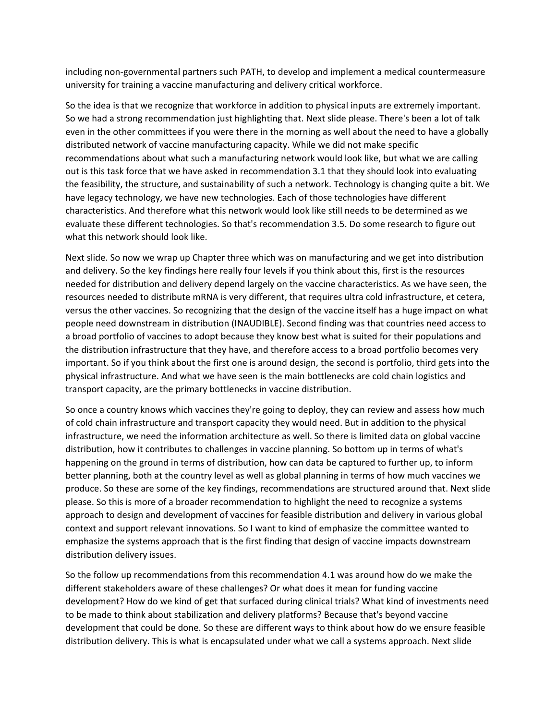including non‐governmental partners such PATH, to develop and implement a medical countermeasure university for training a vaccine manufacturing and delivery critical workforce.

So the idea is that we recognize that workforce in addition to physical inputs are extremely important. So we had a strong recommendation just highlighting that. Next slide please. There's been a lot of talk even in the other committees if you were there in the morning as well about the need to have a globally distributed network of vaccine manufacturing capacity. While we did not make specific recommendations about what such a manufacturing network would look like, but what we are calling out is this task force that we have asked in recommendation 3.1 that they should look into evaluating the feasibility, the structure, and sustainability of such a network. Technology is changing quite a bit. We have legacy technology, we have new technologies. Each of those technologies have different characteristics. And therefore what this network would look like still needs to be determined as we evaluate these different technologies. So that's recommendation 3.5. Do some research to figure out what this network should look like.

Next slide. So now we wrap up Chapter three which was on manufacturing and we get into distribution and delivery. So the key findings here really four levels if you think about this, first is the resources needed for distribution and delivery depend largely on the vaccine characteristics. As we have seen, the resources needed to distribute mRNA is very different, that requires ultra cold infrastructure, et cetera, versus the other vaccines. So recognizing that the design of the vaccine itself has a huge impact on what people need downstream in distribution (INAUDIBLE). Second finding was that countries need access to a broad portfolio of vaccines to adopt because they know best what is suited for their populations and the distribution infrastructure that they have, and therefore access to a broad portfolio becomes very important. So if you think about the first one is around design, the second is portfolio, third gets into the physical infrastructure. And what we have seen is the main bottlenecks are cold chain logistics and transport capacity, are the primary bottlenecks in vaccine distribution.

So once a country knows which vaccines they're going to deploy, they can review and assess how much of cold chain infrastructure and transport capacity they would need. But in addition to the physical infrastructure, we need the information architecture as well. So there is limited data on global vaccine distribution, how it contributes to challenges in vaccine planning. So bottom up in terms of what's happening on the ground in terms of distribution, how can data be captured to further up, to inform better planning, both at the country level as well as global planning in terms of how much vaccines we produce. So these are some of the key findings, recommendations are structured around that. Next slide please. So this is more of a broader recommendation to highlight the need to recognize a systems approach to design and development of vaccines for feasible distribution and delivery in various global context and support relevant innovations. So I want to kind of emphasize the committee wanted to emphasize the systems approach that is the first finding that design of vaccine impacts downstream distribution delivery issues.

So the follow up recommendations from this recommendation 4.1 was around how do we make the different stakeholders aware of these challenges? Or what does it mean for funding vaccine development? How do we kind of get that surfaced during clinical trials? What kind of investments need to be made to think about stabilization and delivery platforms? Because that's beyond vaccine development that could be done. So these are different ways to think about how do we ensure feasible distribution delivery. This is what is encapsulated under what we call a systems approach. Next slide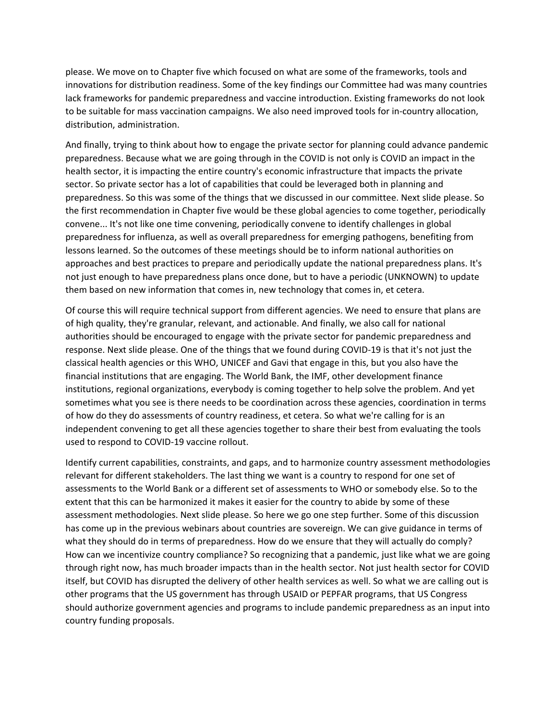please. We move on to Chapter five which focused on what are some of the frameworks, tools and innovations for distribution readiness. Some of the key findings our Committee had was many countries lack frameworks for pandemic preparedness and vaccine introduction. Existing frameworks do not look to be suitable for mass vaccination campaigns. We also need improved tools for in‐country allocation, distribution, administration.

And finally, trying to think about how to engage the private sector for planning could advance pandemic preparedness. Because what we are going through in the COVID is not only is COVID an impact in the health sector, it is impacting the entire country's economic infrastructure that impacts the private sector. So private sector has a lot of capabilities that could be leveraged both in planning and preparedness. So this was some of the things that we discussed in our committee. Next slide please. So the first recommendation in Chapter five would be these global agencies to come together, periodically convene... It's not like one time convening, periodically convene to identify challenges in global preparedness for influenza, as well as overall preparedness for emerging pathogens, benefiting from lessons learned. So the outcomes of these meetings should be to inform national authorities on approaches and best practices to prepare and periodically update the national preparedness plans. It's not just enough to have preparedness plans once done, but to have a periodic (UNKNOWN) to update them based on new information that comes in, new technology that comes in, et cetera.

Of course this will require technical support from different agencies. We need to ensure that plans are of high quality, they're granular, relevant, and actionable. And finally, we also call for national authorities should be encouraged to engage with the private sector for pandemic preparedness and response. Next slide please. One of the things that we found during COVID‐19 is that it's not just the classical health agencies or this WHO, UNICEF and Gavi that engage in this, but you also have the financial institutions that are engaging. The World Bank, the IMF, other development finance institutions, regional organizations, everybody is coming together to help solve the problem. And yet sometimes what you see is there needs to be coordination across these agencies, coordination in terms of how do they do assessments of country readiness, et cetera. So what we're calling for is an independent convening to get all these agencies together to share their best from evaluating the tools used to respond to COVID‐19 vaccine rollout.

Identify current capabilities, constraints, and gaps, and to harmonize country assessment methodologies relevant for different stakeholders. The last thing we want is a country to respond for one set of assessments to the World Bank or a different set of assessments to WHO or somebody else. So to the extent that this can be harmonized it makes it easier for the country to abide by some of these assessment methodologies. Next slide please. So here we go one step further. Some of this discussion has come up in the previous webinars about countries are sovereign. We can give guidance in terms of what they should do in terms of preparedness. How do we ensure that they will actually do comply? How can we incentivize country compliance? So recognizing that a pandemic, just like what we are going through right now, has much broader impacts than in the health sector. Not just health sector for COVID itself, but COVID has disrupted the delivery of other health services as well. So what we are calling out is other programs that the US government has through USAID or PEPFAR programs, that US Congress should authorize government agencies and programs to include pandemic preparedness as an input into country funding proposals.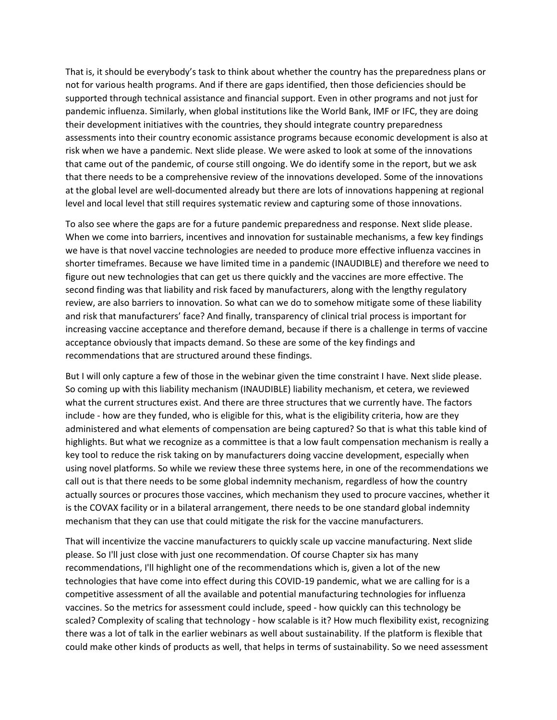That is, it should be everybody's task to think about whether the country has the preparedness plans or not for various health programs. And if there are gaps identified, then those deficiencies should be supported through technical assistance and financial support. Even in other programs and not just for pandemic influenza. Similarly, when global institutions like the World Bank, IMF or IFC, they are doing their development initiatives with the countries, they should integrate country preparedness assessments into their country economic assistance programs because economic development is also at risk when we have a pandemic. Next slide please. We were asked to look at some of the innovations that came out of the pandemic, of course still ongoing. We do identify some in the report, but we ask that there needs to be a comprehensive review of the innovations developed. Some of the innovations at the global level are well‐documented already but there are lots of innovations happening at regional level and local level that still requires systematic review and capturing some of those innovations.

To also see where the gaps are for a future pandemic preparedness and response. Next slide please. When we come into barriers, incentives and innovation for sustainable mechanisms, a few key findings we have is that novel vaccine technologies are needed to produce more effective influenza vaccines in shorter timeframes. Because we have limited time in a pandemic (INAUDIBLE) and therefore we need to figure out new technologies that can get us there quickly and the vaccines are more effective. The second finding was that liability and risk faced by manufacturers, along with the lengthy regulatory review, are also barriers to innovation. So what can we do to somehow mitigate some of these liability and risk that manufacturers' face? And finally, transparency of clinical trial process is important for increasing vaccine acceptance and therefore demand, because if there is a challenge in terms of vaccine acceptance obviously that impacts demand. So these are some of the key findings and recommendations that are structured around these findings.

But I will only capture a few of those in the webinar given the time constraint I have. Next slide please. So coming up with this liability mechanism (INAUDIBLE) liability mechanism, et cetera, we reviewed what the current structures exist. And there are three structures that we currently have. The factors include - how are they funded, who is eligible for this, what is the eligibility criteria, how are they administered and what elements of compensation are being captured? So that is what this table kind of highlights. But what we recognize as a committee is that a low fault compensation mechanism is really a key tool to reduce the risk taking on by manufacturers doing vaccine development, especially when using novel platforms. So while we review these three systems here, in one of the recommendations we call out is that there needs to be some global indemnity mechanism, regardless of how the country actually sources or procures those vaccines, which mechanism they used to procure vaccines, whether it is the COVAX facility or in a bilateral arrangement, there needs to be one standard global indemnity mechanism that they can use that could mitigate the risk for the vaccine manufacturers.

That will incentivize the vaccine manufacturers to quickly scale up vaccine manufacturing. Next slide please. So I'll just close with just one recommendation. Of course Chapter six has many recommendations, I'll highlight one of the recommendations which is, given a lot of the new technologies that have come into effect during this COVID‐19 pandemic, what we are calling for is a competitive assessment of all the available and potential manufacturing technologies for influenza vaccines. So the metrics for assessment could include, speed ‐ how quickly can this technology be scaled? Complexity of scaling that technology - how scalable is it? How much flexibility exist, recognizing there was a lot of talk in the earlier webinars as well about sustainability. If the platform is flexible that could make other kinds of products as well, that helps in terms of sustainability. So we need assessment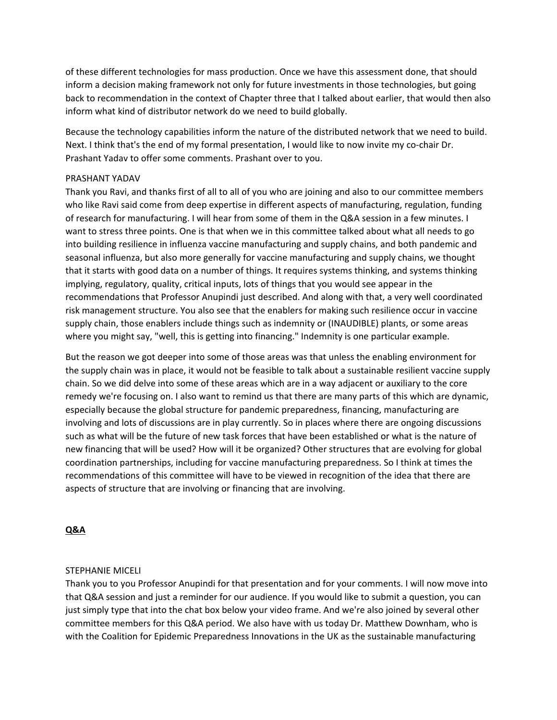of these different technologies for mass production. Once we have this assessment done, that should inform a decision making framework not only for future investments in those technologies, but going back to recommendation in the context of Chapter three that I talked about earlier, that would then also inform what kind of distributor network do we need to build globally.

Because the technology capabilities inform the nature of the distributed network that we need to build. Next. I think that's the end of my formal presentation, I would like to now invite my co-chair Dr. Prashant Yadav to offer some comments. Prashant over to you.

### PRASHANT YADAV

Thank you Ravi, and thanks first of all to all of you who are joining and also to our committee members who like Ravi said come from deep expertise in different aspects of manufacturing, regulation, funding of research for manufacturing. I will hear from some of them in the Q&A session in a few minutes. I want to stress three points. One is that when we in this committee talked about what all needs to go into building resilience in influenza vaccine manufacturing and supply chains, and both pandemic and seasonal influenza, but also more generally for vaccine manufacturing and supply chains, we thought that it starts with good data on a number of things. It requires systems thinking, and systems thinking implying, regulatory, quality, critical inputs, lots of things that you would see appear in the recommendations that Professor Anupindi just described. And along with that, a very well coordinated risk management structure. You also see that the enablers for making such resilience occur in vaccine supply chain, those enablers include things such as indemnity or (INAUDIBLE) plants, or some areas where you might say, "well, this is getting into financing." Indemnity is one particular example.

But the reason we got deeper into some of those areas was that unless the enabling environment for the supply chain was in place, it would not be feasible to talk about a sustainable resilient vaccine supply chain. So we did delve into some of these areas which are in a way adjacent or auxiliary to the core remedy we're focusing on. I also want to remind us that there are many parts of this which are dynamic, especially because the global structure for pandemic preparedness, financing, manufacturing are involving and lots of discussions are in play currently. So in places where there are ongoing discussions such as what will be the future of new task forces that have been established or what is the nature of new financing that will be used? How will it be organized? Other structures that are evolving for global coordination partnerships, including for vaccine manufacturing preparedness. So I think at times the recommendations of this committee will have to be viewed in recognition of the idea that there are aspects of structure that are involving or financing that are involving.

# **Q&A**

#### STEPHANIE MICELI

Thank you to you Professor Anupindi for that presentation and for your comments. I will now move into that Q&A session and just a reminder for our audience. If you would like to submit a question, you can just simply type that into the chat box below your video frame. And we're also joined by several other committee members for this Q&A period. We also have with us today Dr. Matthew Downham, who is with the Coalition for Epidemic Preparedness Innovations in the UK as the sustainable manufacturing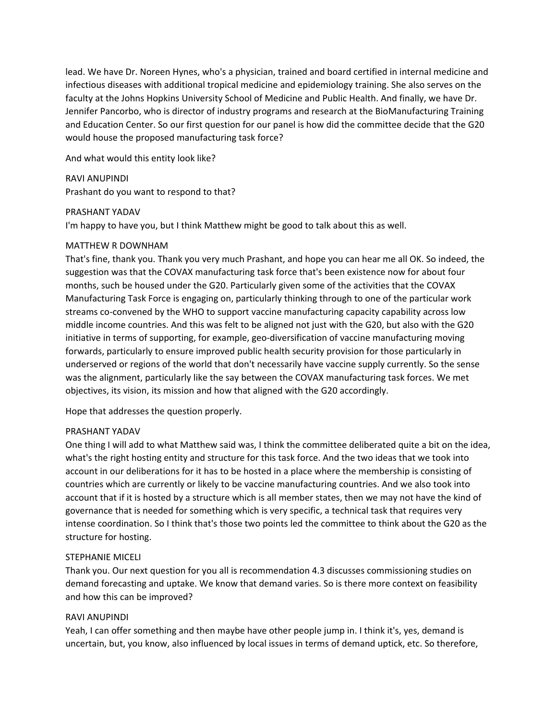lead. We have Dr. Noreen Hynes, who's a physician, trained and board certified in internal medicine and infectious diseases with additional tropical medicine and epidemiology training. She also serves on the faculty at the Johns Hopkins University School of Medicine and Public Health. And finally, we have Dr. Jennifer Pancorbo, who is director of industry programs and research at the BioManufacturing Training and Education Center. So our first question for our panel is how did the committee decide that the G20 would house the proposed manufacturing task force?

And what would this entity look like?

RAVI ANUPINDI Prashant do you want to respond to that?

# PRASHANT YADAV

I'm happy to have you, but I think Matthew might be good to talk about this as well.

# MATTHEW R DOWNHAM

That's fine, thank you. Thank you very much Prashant, and hope you can hear me all OK. So indeed, the suggestion was that the COVAX manufacturing task force that's been existence now for about four months, such be housed under the G20. Particularly given some of the activities that the COVAX Manufacturing Task Force is engaging on, particularly thinking through to one of the particular work streams co-convened by the WHO to support vaccine manufacturing capacity capability across low middle income countries. And this was felt to be aligned not just with the G20, but also with the G20 initiative in terms of supporting, for example, geo‐diversification of vaccine manufacturing moving forwards, particularly to ensure improved public health security provision for those particularly in underserved or regions of the world that don't necessarily have vaccine supply currently. So the sense was the alignment, particularly like the say between the COVAX manufacturing task forces. We met objectives, its vision, its mission and how that aligned with the G20 accordingly.

Hope that addresses the question properly.

# PRASHANT YADAV

One thing I will add to what Matthew said was, I think the committee deliberated quite a bit on the idea, what's the right hosting entity and structure for this task force. And the two ideas that we took into account in our deliberations for it has to be hosted in a place where the membership is consisting of countries which are currently or likely to be vaccine manufacturing countries. And we also took into account that if it is hosted by a structure which is all member states, then we may not have the kind of governance that is needed for something which is very specific, a technical task that requires very intense coordination. So I think that's those two points led the committee to think about the G20 as the structure for hosting.

#### STEPHANIE MICELI

Thank you. Our next question for you all is recommendation 4.3 discusses commissioning studies on demand forecasting and uptake. We know that demand varies. So is there more context on feasibility and how this can be improved?

### RAVI ANUPINDI

Yeah, I can offer something and then maybe have other people jump in. I think it's, yes, demand is uncertain, but, you know, also influenced by local issues in terms of demand uptick, etc. So therefore,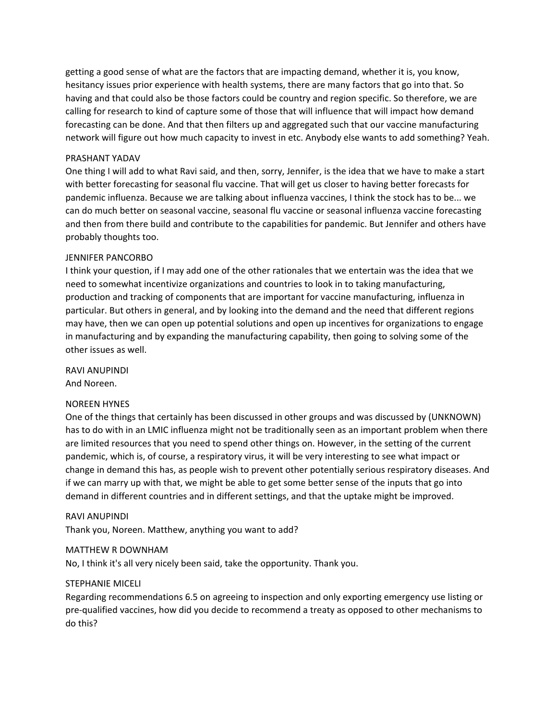getting a good sense of what are the factors that are impacting demand, whether it is, you know, hesitancy issues prior experience with health systems, there are many factors that go into that. So having and that could also be those factors could be country and region specific. So therefore, we are calling for research to kind of capture some of those that will influence that will impact how demand forecasting can be done. And that then filters up and aggregated such that our vaccine manufacturing network will figure out how much capacity to invest in etc. Anybody else wants to add something? Yeah.

### PRASHANT YADAV

One thing I will add to what Ravi said, and then, sorry, Jennifer, is the idea that we have to make a start with better forecasting for seasonal flu vaccine. That will get us closer to having better forecasts for pandemic influenza. Because we are talking about influenza vaccines, I think the stock has to be... we can do much better on seasonal vaccine, seasonal flu vaccine or seasonal influenza vaccine forecasting and then from there build and contribute to the capabilities for pandemic. But Jennifer and others have probably thoughts too.

# JENNIFER PANCORBO

I think your question, if I may add one of the other rationales that we entertain was the idea that we need to somewhat incentivize organizations and countries to look in to taking manufacturing, production and tracking of components that are important for vaccine manufacturing, influenza in particular. But others in general, and by looking into the demand and the need that different regions may have, then we can open up potential solutions and open up incentives for organizations to engage in manufacturing and by expanding the manufacturing capability, then going to solving some of the other issues as well.

RAVI ANUPINDI

And Noreen.

# NOREEN HYNES

One of the things that certainly has been discussed in other groups and was discussed by (UNKNOWN) has to do with in an LMIC influenza might not be traditionally seen as an important problem when there are limited resources that you need to spend other things on. However, in the setting of the current pandemic, which is, of course, a respiratory virus, it will be very interesting to see what impact or change in demand this has, as people wish to prevent other potentially serious respiratory diseases. And if we can marry up with that, we might be able to get some better sense of the inputs that go into demand in different countries and in different settings, and that the uptake might be improved.

#### RAVI ANUPINDI

Thank you, Noreen. Matthew, anything you want to add?

# MATTHEW R DOWNHAM

No, I think it's all very nicely been said, take the opportunity. Thank you.

# STEPHANIE MICELI

Regarding recommendations 6.5 on agreeing to inspection and only exporting emergency use listing or pre‐qualified vaccines, how did you decide to recommend a treaty as opposed to other mechanisms to do this?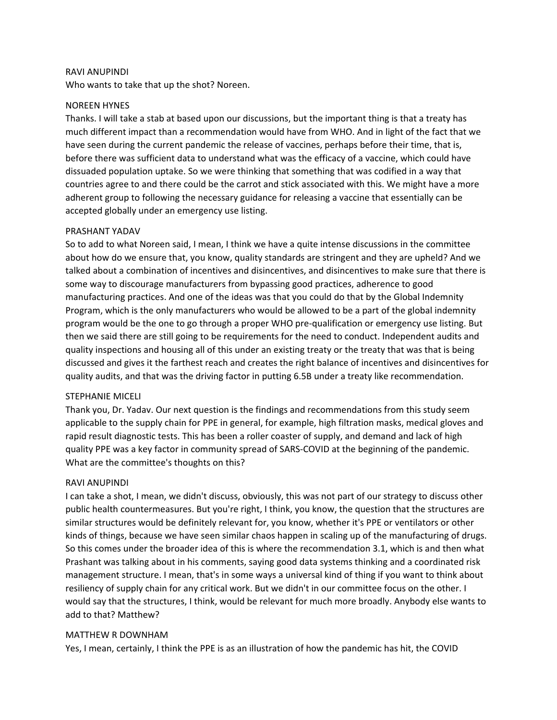#### RAVI ANUPINDI

Who wants to take that up the shot? Noreen.

#### NOREEN HYNES

Thanks. I will take a stab at based upon our discussions, but the important thing is that a treaty has much different impact than a recommendation would have from WHO. And in light of the fact that we have seen during the current pandemic the release of vaccines, perhaps before their time, that is, before there was sufficient data to understand what was the efficacy of a vaccine, which could have dissuaded population uptake. So we were thinking that something that was codified in a way that countries agree to and there could be the carrot and stick associated with this. We might have a more adherent group to following the necessary guidance for releasing a vaccine that essentially can be accepted globally under an emergency use listing.

#### PRASHANT YADAV

So to add to what Noreen said, I mean, I think we have a quite intense discussions in the committee about how do we ensure that, you know, quality standards are stringent and they are upheld? And we talked about a combination of incentives and disincentives, and disincentives to make sure that there is some way to discourage manufacturers from bypassing good practices, adherence to good manufacturing practices. And one of the ideas was that you could do that by the Global Indemnity Program, which is the only manufacturers who would be allowed to be a part of the global indemnity program would be the one to go through a proper WHO pre‐qualification or emergency use listing. But then we said there are still going to be requirements for the need to conduct. Independent audits and quality inspections and housing all of this under an existing treaty or the treaty that was that is being discussed and gives it the farthest reach and creates the right balance of incentives and disincentives for quality audits, and that was the driving factor in putting 6.5B under a treaty like recommendation.

#### STEPHANIE MICELI

Thank you, Dr. Yadav. Our next question is the findings and recommendations from this study seem applicable to the supply chain for PPE in general, for example, high filtration masks, medical gloves and rapid result diagnostic tests. This has been a roller coaster of supply, and demand and lack of high quality PPE was a key factor in community spread of SARS‐COVID at the beginning of the pandemic. What are the committee's thoughts on this?

### RAVI ANUPINDI

I can take a shot, I mean, we didn't discuss, obviously, this was not part of our strategy to discuss other public health countermeasures. But you're right, I think, you know, the question that the structures are similar structures would be definitely relevant for, you know, whether it's PPE or ventilators or other kinds of things, because we have seen similar chaos happen in scaling up of the manufacturing of drugs. So this comes under the broader idea of this is where the recommendation 3.1, which is and then what Prashant was talking about in his comments, saying good data systems thinking and a coordinated risk management structure. I mean, that's in some ways a universal kind of thing if you want to think about resiliency of supply chain for any critical work. But we didn't in our committee focus on the other. I would say that the structures, I think, would be relevant for much more broadly. Anybody else wants to add to that? Matthew?

# MATTHEW R DOWNHAM

Yes, I mean, certainly, I think the PPE is as an illustration of how the pandemic has hit, the COVID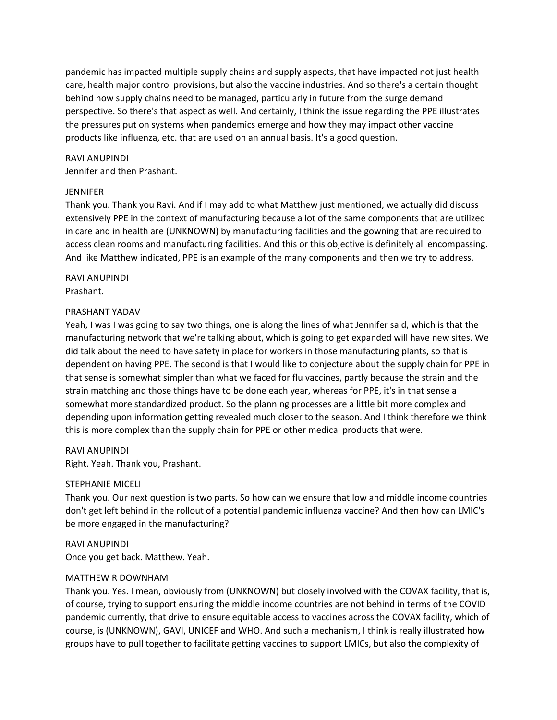pandemic has impacted multiple supply chains and supply aspects, that have impacted not just health care, health major control provisions, but also the vaccine industries. And so there's a certain thought behind how supply chains need to be managed, particularly in future from the surge demand perspective. So there's that aspect as well. And certainly, I think the issue regarding the PPE illustrates the pressures put on systems when pandemics emerge and how they may impact other vaccine products like influenza, etc. that are used on an annual basis. It's a good question.

### RAVI ANUPINDI

Jennifer and then Prashant.

# **JENNIFER**

Thank you. Thank you Ravi. And if I may add to what Matthew just mentioned, we actually did discuss extensively PPE in the context of manufacturing because a lot of the same components that are utilized in care and in health are (UNKNOWN) by manufacturing facilities and the gowning that are required to access clean rooms and manufacturing facilities. And this or this objective is definitely all encompassing. And like Matthew indicated, PPE is an example of the many components and then we try to address.

# RAVI ANUPINDI

Prashant.

# PRASHANT YADAV

Yeah, I was I was going to say two things, one is along the lines of what Jennifer said, which is that the manufacturing network that we're talking about, which is going to get expanded will have new sites. We did talk about the need to have safety in place for workers in those manufacturing plants, so that is dependent on having PPE. The second is that I would like to conjecture about the supply chain for PPE in that sense is somewhat simpler than what we faced for flu vaccines, partly because the strain and the strain matching and those things have to be done each year, whereas for PPE, it's in that sense a somewhat more standardized product. So the planning processes are a little bit more complex and depending upon information getting revealed much closer to the season. And I think therefore we think this is more complex than the supply chain for PPE or other medical products that were.

#### RAVI ANUPINDI

Right. Yeah. Thank you, Prashant.

# STEPHANIE MICELI

Thank you. Our next question is two parts. So how can we ensure that low and middle income countries don't get left behind in the rollout of a potential pandemic influenza vaccine? And then how can LMIC's be more engaged in the manufacturing?

RAVI ANUPINDI Once you get back. Matthew. Yeah.

# MATTHEW R DOWNHAM

Thank you. Yes. I mean, obviously from (UNKNOWN) but closely involved with the COVAX facility, that is, of course, trying to support ensuring the middle income countries are not behind in terms of the COVID pandemic currently, that drive to ensure equitable access to vaccines across the COVAX facility, which of course, is (UNKNOWN), GAVI, UNICEF and WHO. And such a mechanism, I think is really illustrated how groups have to pull together to facilitate getting vaccines to support LMICs, but also the complexity of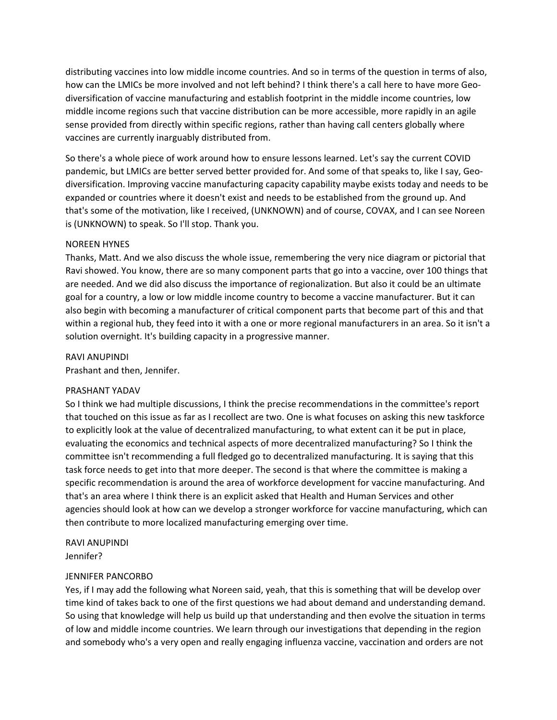distributing vaccines into low middle income countries. And so in terms of the question in terms of also, how can the LMICs be more involved and not left behind? I think there's a call here to have more Geodiversification of vaccine manufacturing and establish footprint in the middle income countries, low middle income regions such that vaccine distribution can be more accessible, more rapidly in an agile sense provided from directly within specific regions, rather than having call centers globally where vaccines are currently inarguably distributed from.

So there's a whole piece of work around how to ensure lessons learned. Let's say the current COVID pandemic, but LMICs are better served better provided for. And some of that speaks to, like I say, Geodiversification. Improving vaccine manufacturing capacity capability maybe exists today and needs to be expanded or countries where it doesn't exist and needs to be established from the ground up. And that's some of the motivation, like I received, (UNKNOWN) and of course, COVAX, and I can see Noreen is (UNKNOWN) to speak. So I'll stop. Thank you.

# NOREEN HYNES

Thanks, Matt. And we also discuss the whole issue, remembering the very nice diagram or pictorial that Ravi showed. You know, there are so many component parts that go into a vaccine, over 100 things that are needed. And we did also discuss the importance of regionalization. But also it could be an ultimate goal for a country, a low or low middle income country to become a vaccine manufacturer. But it can also begin with becoming a manufacturer of critical component parts that become part of this and that within a regional hub, they feed into it with a one or more regional manufacturers in an area. So it isn't a solution overnight. It's building capacity in a progressive manner.

# RAVI ANUPINDI

Prashant and then, Jennifer.

#### PRASHANT YADAV

So I think we had multiple discussions, I think the precise recommendations in the committee's report that touched on this issue as far as I recollect are two. One is what focuses on asking this new taskforce to explicitly look at the value of decentralized manufacturing, to what extent can it be put in place, evaluating the economics and technical aspects of more decentralized manufacturing? So I think the committee isn't recommending a full fledged go to decentralized manufacturing. It is saying that this task force needs to get into that more deeper. The second is that where the committee is making a specific recommendation is around the area of workforce development for vaccine manufacturing. And that's an area where I think there is an explicit asked that Health and Human Services and other agencies should look at how can we develop a stronger workforce for vaccine manufacturing, which can then contribute to more localized manufacturing emerging over time.

RAVI ANUPINDI Jennifer?

#### JENNIFER PANCORBO

Yes, if I may add the following what Noreen said, yeah, that this is something that will be develop over time kind of takes back to one of the first questions we had about demand and understanding demand. So using that knowledge will help us build up that understanding and then evolve the situation in terms of low and middle income countries. We learn through our investigations that depending in the region and somebody who's a very open and really engaging influenza vaccine, vaccination and orders are not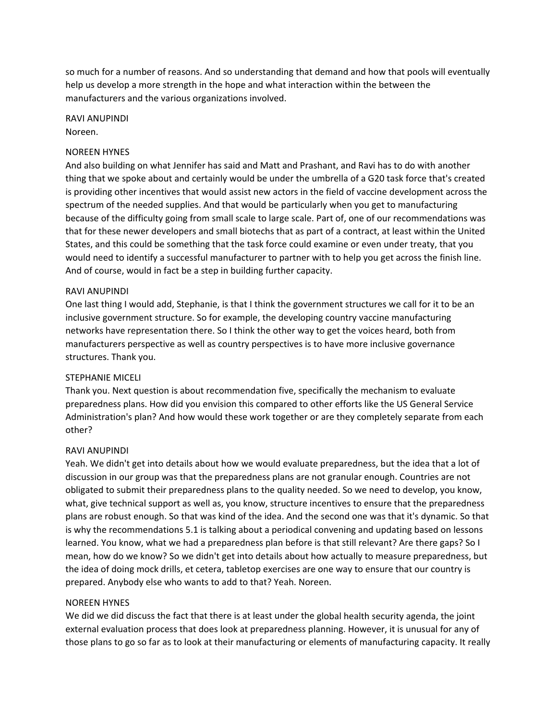so much for a number of reasons. And so understanding that demand and how that pools will eventually help us develop a more strength in the hope and what interaction within the between the manufacturers and the various organizations involved.

RAVI ANUPINDI Noreen.

# NOREEN HYNES

And also building on what Jennifer has said and Matt and Prashant, and Ravi has to do with another thing that we spoke about and certainly would be under the umbrella of a G20 task force that's created is providing other incentives that would assist new actors in the field of vaccine development across the spectrum of the needed supplies. And that would be particularly when you get to manufacturing because of the difficulty going from small scale to large scale. Part of, one of our recommendations was that for these newer developers and small biotechs that as part of a contract, at least within the United States, and this could be something that the task force could examine or even under treaty, that you would need to identify a successful manufacturer to partner with to help you get across the finish line. And of course, would in fact be a step in building further capacity.

#### RAVI ANUPINDI

One last thing I would add, Stephanie, is that I think the government structures we call for it to be an inclusive government structure. So for example, the developing country vaccine manufacturing networks have representation there. So I think the other way to get the voices heard, both from manufacturers perspective as well as country perspectives is to have more inclusive governance structures. Thank you.

#### STEPHANIE MICELI

Thank you. Next question is about recommendation five, specifically the mechanism to evaluate preparedness plans. How did you envision this compared to other efforts like the US General Service Administration's plan? And how would these work together or are they completely separate from each other?

#### RAVI ANUPINDI

Yeah. We didn't get into details about how we would evaluate preparedness, but the idea that a lot of discussion in our group was that the preparedness plans are not granular enough. Countries are not obligated to submit their preparedness plans to the quality needed. So we need to develop, you know, what, give technical support as well as, you know, structure incentives to ensure that the preparedness plans are robust enough. So that was kind of the idea. And the second one was that it's dynamic. So that is why the recommendations 5.1 is talking about a periodical convening and updating based on lessons learned. You know, what we had a preparedness plan before is that still relevant? Are there gaps? So I mean, how do we know? So we didn't get into details about how actually to measure preparedness, but the idea of doing mock drills, et cetera, tabletop exercises are one way to ensure that our country is prepared. Anybody else who wants to add to that? Yeah. Noreen.

#### NOREEN HYNES

We did we did discuss the fact that there is at least under the global health security agenda, the joint external evaluation process that does look at preparedness planning. However, it is unusual for any of those plans to go so far as to look at their manufacturing or elements of manufacturing capacity. It really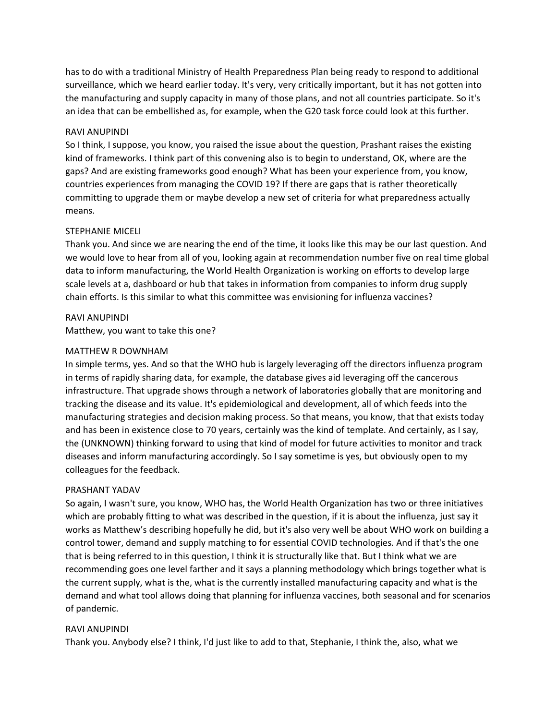has to do with a traditional Ministry of Health Preparedness Plan being ready to respond to additional surveillance, which we heard earlier today. It's very, very critically important, but it has not gotten into the manufacturing and supply capacity in many of those plans, and not all countries participate. So it's an idea that can be embellished as, for example, when the G20 task force could look at this further.

# RAVI ANUPINDI

So I think, I suppose, you know, you raised the issue about the question, Prashant raises the existing kind of frameworks. I think part of this convening also is to begin to understand, OK, where are the gaps? And are existing frameworks good enough? What has been your experience from, you know, countries experiences from managing the COVID 19? If there are gaps that is rather theoretically committing to upgrade them or maybe develop a new set of criteria for what preparedness actually means.

# STEPHANIE MICELI

Thank you. And since we are nearing the end of the time, it looks like this may be our last question. And we would love to hear from all of you, looking again at recommendation number five on real time global data to inform manufacturing, the World Health Organization is working on efforts to develop large scale levels at a, dashboard or hub that takes in information from companies to inform drug supply chain efforts. Is this similar to what this committee was envisioning for influenza vaccines?

# RAVI ANUPINDI

Matthew, you want to take this one?

# MATTHEW R DOWNHAM

In simple terms, yes. And so that the WHO hub is largely leveraging off the directors influenza program in terms of rapidly sharing data, for example, the database gives aid leveraging off the cancerous infrastructure. That upgrade shows through a network of laboratories globally that are monitoring and tracking the disease and its value. It's epidemiological and development, all of which feeds into the manufacturing strategies and decision making process. So that means, you know, that that exists today and has been in existence close to 70 years, certainly was the kind of template. And certainly, as I say, the (UNKNOWN) thinking forward to using that kind of model for future activities to monitor and track diseases and inform manufacturing accordingly. So I say sometime is yes, but obviously open to my colleagues for the feedback.

#### PRASHANT YADAV

So again, I wasn't sure, you know, WHO has, the World Health Organization has two or three initiatives which are probably fitting to what was described in the question, if it is about the influenza, just say it works as Matthew's describing hopefully he did, but it's also very well be about WHO work on building a control tower, demand and supply matching to for essential COVID technologies. And if that's the one that is being referred to in this question, I think it is structurally like that. But I think what we are recommending goes one level farther and it says a planning methodology which brings together what is the current supply, what is the, what is the currently installed manufacturing capacity and what is the demand and what tool allows doing that planning for influenza vaccines, both seasonal and for scenarios of pandemic.

# RAVI ANUPINDI

Thank you. Anybody else? I think, I'd just like to add to that, Stephanie, I think the, also, what we